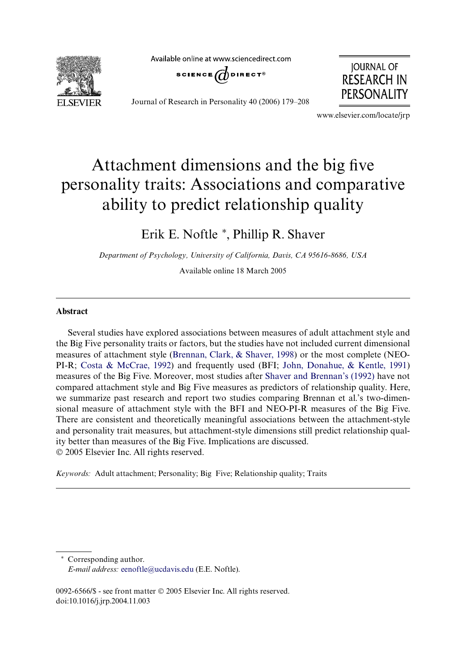**EI SEVIER** 

Available online at www.sciencedirect.com





Journal of Research in Personality 40 (2006) 179–208

www.elsevier.com/locate/jrp

# Attachment dimensions and the big five personality traits: Associations and comparative ability to predict relationship quality

# Erik E. Noftle \*, Phillip R. Shaver

*Department of Psychology, University of California, Davis, CA 95616-8686, USA*

Available online 18 March 2005

#### **Abstract**

Several studies have explored associations between measures of adult attachment style and the Big Five personality traits or factors, but the studies have not included current dimensional measures of attachment style ([Brennan, Clark, & Shaver, 1998](#page-26-0)) or the most complete (NEO-PI-R; [Costa & McCrae, 1992](#page-26-1)) and frequently used (BFI; [John, Donahue, & Kentle, 1991\)](#page-27-0) measures of the Big Five. Moreover, most studies after [Shaver and Brennan's \(1992\)](#page-28-0) have not compared attachment style and Big Five measures as predictors of relationship quality. Here, we summarize past research and report two studies comparing Brennan et al.'s two-dimensional measure of attachment style with the BFI and NEO-PI-R measures of the Big Five. There are consistent and theoretically meaningful associations between the attachment-style and personality trait measures, but attachment-style dimensions still predict relationship quality better than measures of the Big Five. Implications are discussed. © 2005 Elsevier Inc. All rights reserved.

*Keywords:* Adult attachment; Personality; Big Five; Relationship quality; Traits

¤ Corresponding author. *E-mail address:* [eenoftle@ucdavis.edu](mailto: eenoftle@ucdavis.edu) (E.E. Noftle).

0092-6566/\$ - see front matter © 2005 Elsevier Inc. All rights reserved. doi:10.1016/j.jrp.2004.11.003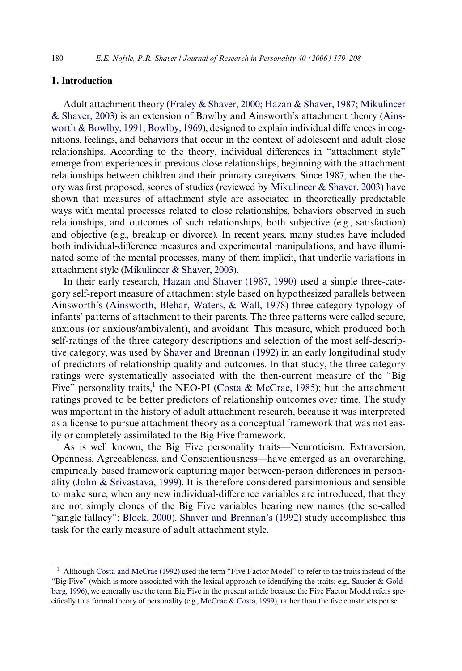### **1. Introduction**

Adult attachment theory [\(Fraley & Shaver, 2000; Hazan & Shaver, 1987; Mikulincer](#page-26-2) [& Shaver, 2003\)](#page-26-2) is an extension of Bowlby and Ainsworth's attachment theory [\(Ains](#page-25-0)worth  $&$  Bowlby, 1991; Bowlby, 1969), designed to explain individual differences in cognitions, feelings, and behaviors that occur in the context of adolescent and adult close relationships. According to the theory, individual differences in "attachment style" emerge from experiences in previous close relationships, beginning with the attachment relationships between children and their primary caregivers. Since 1987, when the the-ory was first proposed, scores of studies (reviewed by [Mikulincer & Shaver, 2003\)](#page-27-1) have shown that measures of attachment style are associated in theoretically predictable ways with mental processes related to close relationships, behaviors observed in such relationships, and outcomes of such relationships, both subjective (e.g., satisfaction) and objective (e.g., breakup or divorce). In recent years, many studies have included both individual-difference measures and experimental manipulations, and have illuminated some of the mental processes, many of them implicit, that underlie variations in attachment style ([Mikulincer & Shaver, 2003\)](#page-27-1).

In their early research, [Hazan and Shaver \(1987, 1990\)](#page-27-2) used a simple three-category self-report measure of attachment style based on hypothesized parallels between Ainsworth's ([Ainsworth, Blehar, Waters, & Wall, 1978](#page-25-1)) three-category typology of infants' patterns of attachment to their parents. The three patterns were called secure, anxious (or anxious/ambivalent), and avoidant. This measure, which produced both self-ratings of the three category descriptions and selection of the most self-descriptive category, was used by [Shaver and Brennan \(1992\)](#page-28-0) in an early longitudinal study of predictors of relationship quality and outcomes. In that study, the three category ratings were systematically associated with the then-current measure of the "Big Five" personality traits,<sup>1</sup> the NEO-PI [\(Costa & McCrae, 1985](#page-26-3)); but the attachment ratings proved to be better predictors of relationship outcomes over time. The study was important in the history of adult attachment research, because it was interpreted as a license to pursue attachment theory as a conceptual framework that was not easily or completely assimilated to the Big Five framework.

As is well known, the Big Five personality traits—Neuroticism, Extraversion, Openness, Agreeableness, and Conscientiousness—have emerged as an overarching, empirically based framework capturing major between-person differences in personality [\(John & Srivastava, 1999\)](#page-27-4). It is therefore considered parsimonious and sensible to make sure, when any new individual-difference variables are introduced, that they are not simply clones of the Big Five variables bearing new names (the so-called "jangle fallacy"; [Block, 2000\)](#page-26-4). [Shaver and Brennan's \(1992\)](#page-28-0) study accomplished this task for the early measure of adult attachment style.

 $1$  Although [Costa and McCrae \(1992\)](#page-26-1) used the term "Five Factor Model" to refer to the traits instead of the "Big Five" (which is more associated with the lexical approach to identifying the traits; e.g., [Saucier & Gold](#page-28-1)[berg, 1996\)](#page-28-1), we generally use the term Big Five in the present article because the Five Factor Model refers spe-cifically to a formal theory of personality (e.g., [McCrae & Costa, 1999](#page-27-3)), rather than the five constructs per se.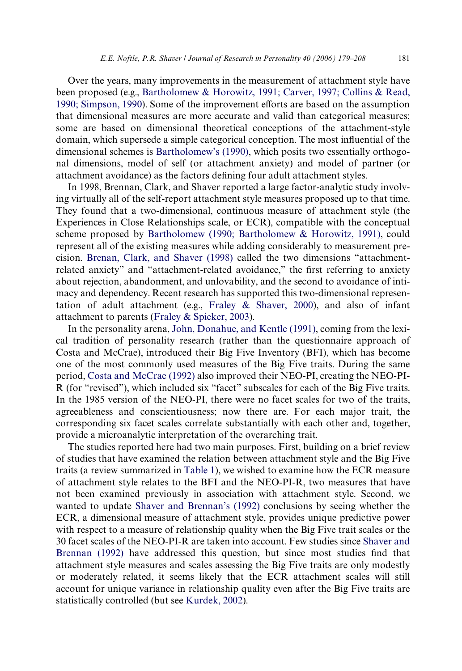Over the years, many improvements in the measurement of attachment style have been proposed (e.g., [Bartholomew & Horowitz, 1991; Carver, 1997; Collins & Read,](#page-25-2) [1990; Simpson, 1990\)](#page-25-2). Some of the improvement efforts are based on the assumption that dimensional measures are more accurate and valid than categorical measures; some are based on dimensional theoretical conceptions of the attachment-style domain, which supersede a simple categorical conception. The most influential of the dimensional schemes is [Bartholomew's \(1990\),](#page-25-3) which posits two essentially orthogonal dimensions, model of self (or attachment anxiety) and model of partner (or attachment avoidance) as the factors defining four adult attachment styles.

In 1998, Brennan, Clark, and Shaver reported a large factor-analytic study involving virtually all of the self-report attachment style measures proposed up to that time. They found that a two-dimensional, continuous measure of attachment style (the Experiences in Close Relationships scale, or ECR), compatible with the conceptual scheme proposed by [Bartholomew \(1990; Bartholomew & Horowitz, 1991\),](#page-25-3) could represent all of the existing measures while adding considerably to measurement precision. [Brenan, Clark, and Shaver \(1998\)](#page-26-0) called the two dimensions "attachmentrelated anxiety" and "attachment-related avoidance," the first referring to anxiety about rejection, abandonment, and unlovability, and the second to avoidance of intimacy and dependency. Recent research has supported this two-dimensional representation of adult attachment (e.g., [Fraley & Shaver, 2000](#page-26-2)), and also of infant attachment to parents ([Fraley & Spieker, 2003\)](#page-26-5).

In the personality arena, [John, Donahue, and Kentle \(1991\)](#page-27-0), coming from the lexical tradition of personality research (rather than the questionnaire approach of Costa and McCrae), introduced their Big Five Inventory (BFI), which has become one of the most commonly used measures of the Big Five traits. During the same period, [Costa and McCrae \(1992\)](#page-26-1) also improved their NEO-PI, creating the NEO-PI-R (for "revised"), which included six "facet" subscales for each of the Big Five traits. In the 1985 version of the NEO-PI, there were no facet scales for two of the traits, agreeableness and conscientiousness; now there are. For each major trait, the corresponding six facet scales correlate substantially with each other and, together, provide a microanalytic interpretation of the overarching trait.

The studies reported here had two main purposes. First, building on a brief review of studies that have examined the relation between attachment style and the Big Five traits (a review summarized in [Table 1](#page-3-0)), we wished to examine how the ECR measure of attachment style relates to the BFI and the NEO-PI-R, two measures that have not been examined previously in association with attachment style. Second, we wanted to update [Shaver and Brennan's \(1992\)](#page-28-0) conclusions by seeing whether the ECR, a dimensional measure of attachment style, provides unique predictive power with respect to a measure of relationship quality when the Big Five trait scales or the 30 facet scales of the NEO-PI-R are taken into account. Few studies since [Shaver and](#page-28-0) [Brennan \(1992\)](#page-28-0) have addressed this question, but since most studies find that attachment style measures and scales assessing the Big Five traits are only modestly or moderately related, it seems likely that the ECR attachment scales will still account for unique variance in relationship quality even after the Big Five traits are statistically controlled (but see [Kurdek, 2002\)](#page-27-5).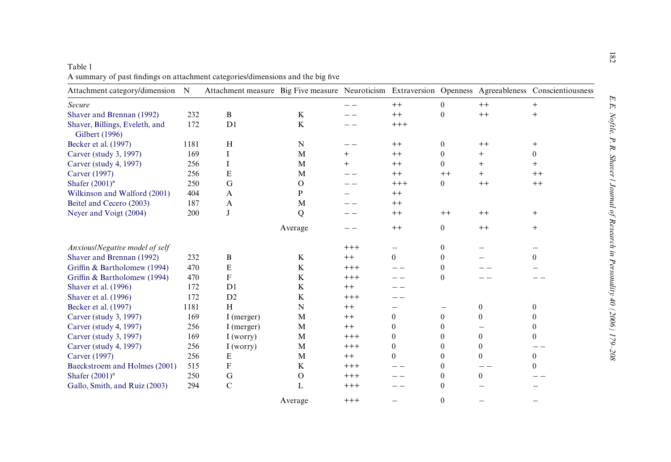| Attachment category/dimension N                  |      | Attachment measure Big Five measure Neuroticism Extraversion Openness Agreeableness Conscientiousness |              |          |              |                |                |          |
|--------------------------------------------------|------|-------------------------------------------------------------------------------------------------------|--------------|----------|--------------|----------------|----------------|----------|
| Secure                                           |      |                                                                                                       |              |          | $++$         | $\theta$       | $++$           | $+$      |
| Shaver and Brennan (1992)                        | 232  | B                                                                                                     | $\bf K$      |          | $++$         | $\theta$       | $++$           | $^{+}$   |
| Shaver, Billings, Eveleth, and<br>Gilbert (1996) | 172  | D <sub>1</sub>                                                                                        | K            |          | $+++$        |                |                |          |
| Becker et al. (1997)                             | 1181 | H                                                                                                     | N            |          | $^{++}$      | $\overline{0}$ | $++$           | $^{+}$   |
| Carver (study 3, 1997)                           | 169  | I                                                                                                     | M            |          | $++$         | $\theta$       | $\overline{+}$ | $\theta$ |
| Carver (study 4, 1997)                           | 256  | I                                                                                                     | M            |          | $^{++}$      | $\theta$       | $^{+}$         | $^{+}$   |
| Carver (1997)                                    | 256  | E                                                                                                     | M            |          | $++$         | $++$           | $^{+}$         | $^{++}$  |
| Shafer $(2001)^a$                                | 250  | G                                                                                                     | $\Omega$     |          | $+++$        | $\overline{0}$ | $++$           | $++$     |
| Wilkinson and Walford (2001)                     | 404  | A                                                                                                     | P            |          | $^{++}$      |                |                |          |
| Beitel and Cecero (2003)                         | 187  | A                                                                                                     | M            |          | $^{++}$      |                |                |          |
| Neyer and Voigt (2004)                           | 200  | J                                                                                                     | Q            |          | $^{++}$      | $++$           | $++$           | $^{+}$   |
|                                                  |      |                                                                                                       | Average      |          | $++$         | $\overline{0}$ | $^{++}$        | $^{+}$   |
| Anxious/Negative model of self                   |      |                                                                                                       |              | $+++$    |              | $\theta$       |                |          |
| Shaver and Brennan (1992)                        | 232  | B                                                                                                     | K            | $^{++}$  | $\theta$     | $\theta$       |                | $\Omega$ |
| Griffin & Bartholomew (1994)                     | 470  | $\mathbf E$                                                                                           | $\bf K$      | $^{+++}$ |              | $\theta$       |                |          |
| Griffin & Bartholomew (1994)                     | 470  | $\mathbf F$                                                                                           | $\bf K$      | $+++$    |              | $\theta$       |                |          |
| Shaver et al. (1996)                             | 172  | D <sub>1</sub>                                                                                        | K            | $^{++}$  |              |                |                |          |
| Shaver et al. (1996)                             | 172  | D2                                                                                                    | $\bf K$      | $^{+++}$ |              |                |                |          |
| Becker et al. (1997)                             | 1181 | H                                                                                                     | $\mathbf N$  | $++$     |              | —              | $\mathbf{0}$   | $\theta$ |
| Carver (study 3, 1997)                           | 169  | I (merger)                                                                                            | M            | $++$     | $\Omega$     | $\theta$       | $\theta$       | $\theta$ |
| Carver (study 4, 1997)                           | 256  | I (merger)                                                                                            | M            | $^{++}$  | $\theta$     | $\theta$       |                | $\theta$ |
| Carver (study 3, 1997)                           | 169  | I(worry)                                                                                              | M            | $+++$    | $\Omega$     | $\theta$       | $\mathbf{0}$   | $\theta$ |
| Carver (study 4, 1997)                           | 256  | I(worry)                                                                                              | M            | $+++$    | $\mathbf{0}$ | $\theta$       | $\theta$       |          |
| Carver (1997)                                    | 256  | E                                                                                                     | M            | $++$     | $\theta$     | $\mathbf{0}$   | $\mathbf{0}$   | $\theta$ |
| Baeckstroem and Holmes (2001)                    | 515  | $\mathbf F$                                                                                           | $\bf K$      | $++++$   |              | $\theta$       |                | $\Omega$ |
| Shafer $(2001)a$                                 | 250  | G                                                                                                     | $\mathbf{O}$ | $^{+++}$ |              | $\theta$       | $\Omega$       |          |
| Gallo, Smith, and Ruiz (2003)                    | 294  | $\mathcal{C}$                                                                                         | L            | $^{+++}$ |              | $\theta$       |                |          |
|                                                  |      |                                                                                                       | Average      | $^{+++}$ |              | $\theta$       |                |          |

<span id="page-3-0"></span>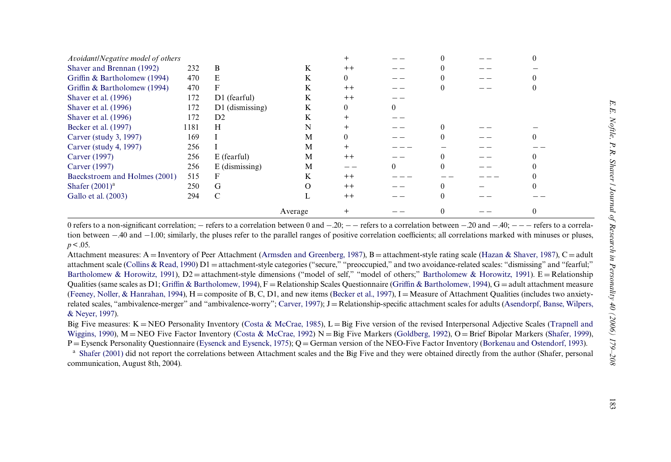| Avoidant/Negative model of others |      |                   |         |      |  |  |
|-----------------------------------|------|-------------------|---------|------|--|--|
| Shaver and Brennan (1992)         | 232  | B                 | K       | $++$ |  |  |
| Griffin & Bartholomew (1994)      | 470  | E                 | K       | 0    |  |  |
| Griffin & Bartholomew (1994)      | 470  | F                 | K       | $++$ |  |  |
| Shaver et al. (1996)              | 172  | D1 (fearful)      | K       | $++$ |  |  |
| Shaver et al. (1996)              | 172  | $D1$ (dismissing) | K       |      |  |  |
| Shaver et al. (1996)              | 172  | D2                | K       |      |  |  |
| Becker et al. (1997)              | 1181 | H                 | N       |      |  |  |
| Carver (study 3, 1997)            | 169  |                   | M       |      |  |  |
| Carver (study 4, 1997)            | 256  |                   | M       |      |  |  |
| Carver (1997)                     | 256  | $E$ (fearful)     | M       | $++$ |  |  |
| Carver (1997)                     | 256  | $E$ (dismissing)  | M       |      |  |  |
| Baeckstroem and Holmes (2001)     | 515  | F                 | K       | $++$ |  |  |
| Shafer $(2001)^a$                 | 250  | G                 | Ω       | $++$ |  |  |
| Gallo et al. (2003)               | 294  | C                 |         | $++$ |  |  |
|                                   |      |                   | Average |      |  |  |

0 refers to a non-significant correlation; - refers to a correlation between 0 and -20; -- refers to a correlation between -40 and -40; -- refers to a correlation between -20 and -40; -- refers to a correlation between -4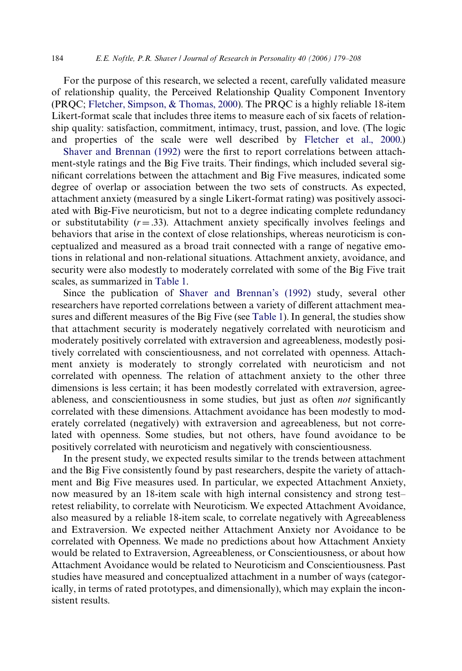For the purpose of this research, we selected a recent, carefully validated measure of relationship quality, the Perceived Relationship Quality Component Inventory (PRQC; [Fletcher, Simpson, & Thomas, 2000\)](#page-26-15). The PRQC is a highly reliable 18-item Likert-format scale that includes three items to measure each of six facets of relationship quality: satisfaction, commitment, intimacy, trust, passion, and love. (The logic and properties of the scale were well described by [Fletcher et al., 2000.](#page-26-15))

[Shaver and Brennan \(1992\)](#page-28-0) were the first to report correlations between attachment-style ratings and the Big Five traits. Their findings, which included several significant correlations between the attachment and Big Five measures, indicated some degree of overlap or association between the two sets of constructs. As expected, attachment anxiety (measured by a single Likert-format rating) was positively associated with Big-Five neuroticism, but not to a degree indicating complete redundancy or substitutability  $(r = .33)$ . Attachment anxiety specifically involves feelings and behaviors that arise in the context of close relationships, whereas neuroticism is conceptualized and measured as a broad trait connected with a range of negative emotions in relational and non-relational situations. Attachment anxiety, avoidance, and security were also modestly to moderately correlated with some of the Big Five trait scales, as summarized in [Table 1.](#page-3-0)

Since the publication of [Shaver and Brennan's \(1992\)](#page-28-0) study, several other researchers have reported correlations between a variety of different attachment mea-sures and different measures of the Big Five (see [Table 1](#page-3-0)). In general, the studies show that attachment security is moderately negatively correlated with neuroticism and moderately positively correlated with extraversion and agreeableness, modestly positively correlated with conscientiousness, and not correlated with openness. Attachment anxiety is moderately to strongly correlated with neuroticism and not correlated with openness. The relation of attachment anxiety to the other three dimensions is less certain; it has been modestly correlated with extraversion, agreeableness, and conscientiousness in some studies, but just as often *not* significantly correlated with these dimensions. Attachment avoidance has been modestly to moderately correlated (negatively) with extraversion and agreeableness, but not correlated with openness. Some studies, but not others, have found avoidance to be positively correlated with neuroticism and negatively with conscientiousness.

In the present study, we expected results similar to the trends between attachment and the Big Five consistently found by past researchers, despite the variety of attachment and Big Five measures used. In particular, we expected Attachment Anxiety, now measured by an 18-item scale with high internal consistency and strong test– retest reliability, to correlate with Neuroticism. We expected Attachment Avoidance, also measured by a reliable 18-item scale, to correlate negatively with Agreeableness and Extraversion. We expected neither Attachment Anxiety nor Avoidance to be correlated with Openness. We made no predictions about how Attachment Anxiety would be related to Extraversion, Agreeableness, or Conscientiousness, or about how Attachment Avoidance would be related to Neuroticism and Conscientiousness. Past studies have measured and conceptualized attachment in a number of ways (categorically, in terms of rated prototypes, and dimensionally), which may explain the inconsistent results.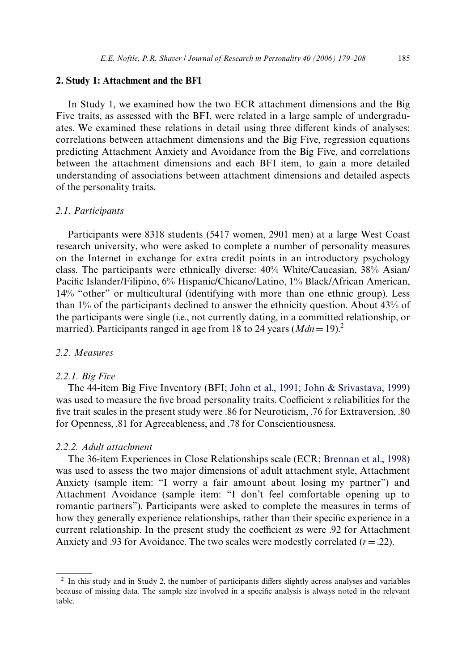#### **2. Study 1: Attachment and the BFI**

In Study 1, we examined how the two ECR attachment dimensions and the Big Five traits, as assessed with the BFI, were related in a large sample of undergraduates. We examined these relations in detail using three different kinds of analyses: correlations between attachment dimensions and the Big Five, regression equations predicting Attachment Anxiety and Avoidance from the Big Five, and correlations between the attachment dimensions and each BFI item, to gain a more detailed understanding of associations between attachment dimensions and detailed aspects of the personality traits.

#### *2.1. Participants*

Participants were 8318 students (5417 women, 2901 men) at a large West Coast research university, who were asked to complete a number of personality measures on the Internet in exchange for extra credit points in an introductory psychology class. The participants were ethnically diverse: 40% White/Caucasian, 38% Asian/ Pacific Islander/Filipino, 6% Hispanic/Chicano/Latino, 1% Black/African American, 14% "other" or multicultural (identifying with more than one ethnic group). Less than 1% of the participants declined to answer the ethnicity question. About 43% of the participants were single (i.e., not currently dating, in a committed relationship, or married). Participants ranged in age from 18 to 24 years  $(Mdn = 19)^2$ .

# *2.2. Measures*

#### *2.2.1. Big Five*

The 44-item Big Five Inventory (BFI; [John et al., 1991; John & Srivastava, 1999](#page-27-0)) was used to measure the five broad personality traits. Coefficient  $\alpha$  reliabilities for the five trait scales in the present study were .86 for Neuroticism, .76 for Extraversion, .80 for Openness, .81 for Agreeableness, and .78 for Conscientiousness.

#### *2.2.2. Adult attachment*

The 36-item Experiences in Close Relationships scale (ECR; [Brennan et al., 1998](#page-26-0)) was used to assess the two major dimensions of adult attachment style, Attachment Anxiety (sample item: "I worry a fair amount about losing my partner") and Attachment Avoidance (sample item: "I don't feel comfortable opening up to romantic partners"). Participants were asked to complete the measures in terms of how they generally experience relationships, rather than their specific experience in a current relationship. In the present study the coefficient as were .92 for Attachment Anxiety and .93 for Avoidance. The two scales were modestly correlated  $(r = .22)$ .

 $2\;$  In this study and in Study 2, the number of participants differs slightly across analyses and variables because of missing data. The sample size involved in a specific analysis is always noted in the relevant table.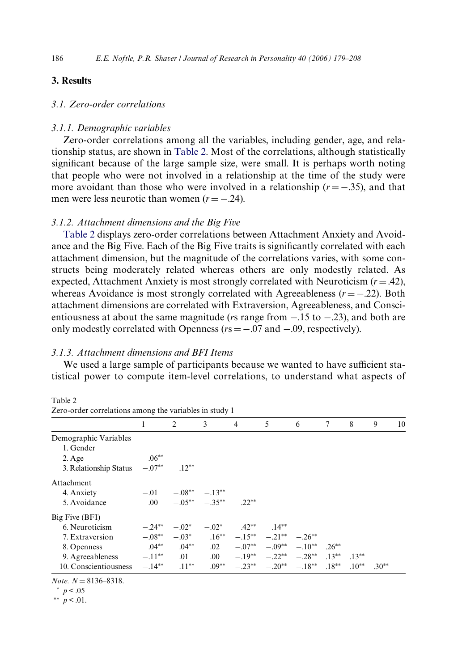# **3. Results**

# *3.1. Zero-order correlations*

### *3.1.1. Demographic variables*

Zero-order correlations among all the variables, including gender, age, and relationship status, are shown in [Table 2.](#page-7-0) Most of the correlations, although statistically significant because of the large sample size, were small. It is perhaps worth noting that people who were not involved in a relationship at the time of the study were more avoidant than those who were involved in a relationship  $(r = -.35)$ , and that men were less neurotic than women  $(r = -.24)$ .

#### *3.1.2. Attachment dimensions and the Big Five*

[Table 2](#page-7-0) displays zero-order correlations between Attachment Anxiety and Avoidance and the Big Five. Each of the Big Five traits is significantly correlated with each attachment dimension, but the magnitude of the correlations varies, with some constructs being moderately related whereas others are only modestly related. As expected, Attachment Anxiety is most strongly correlated with Neuroticism  $(r = .42)$ , whereas Avoidance is most strongly correlated with Agreeableness  $(r = -0.22)$ . Both attachment dimensions are correlated with Extraversion, Agreeableness, and Conscientiousness at about the same magnitude ( $r s$  range from  $-.15$  to  $-.23$ ), and both are only modestly correlated with Openness  $(rs = -.07$  and  $-.09$ , respectively).

#### *3.1.3. Attachment dimensions and BFI Items*

We used a large sample of participants because we wanted to have sufficient statistical power to compute item-level correlations, to understand what aspects of

<span id="page-7-0"></span>

Zero-order correlations among the variables in study 1

|                        |           | 2        | 3                    | $\overline{4}$ | 5                                   | 6        | 7         | 8       | 9       | 10 |
|------------------------|-----------|----------|----------------------|----------------|-------------------------------------|----------|-----------|---------|---------|----|
| Demographic Variables  |           |          |                      |                |                                     |          |           |         |         |    |
| 1. Gender              |           |          |                      |                |                                     |          |           |         |         |    |
| $2. \text{Age}$        | $.06**$   |          |                      |                |                                     |          |           |         |         |    |
| 3. Relationship Status | $-.07**$  | $.12***$ |                      |                |                                     |          |           |         |         |    |
| Attachment             |           |          |                      |                |                                     |          |           |         |         |    |
| 4. Anxiety             | $-.01$    |          | $-.08***$ $-.13**$   |                |                                     |          |           |         |         |    |
| 5. Avoidance           | .00.      |          | $-0.5***$ $-0.35***$ | $22**$         |                                     |          |           |         |         |    |
| Big Five (BFI)         |           |          |                      |                |                                     |          |           |         |         |    |
| 6. Neuroticism         | $-.24**$  | $-.02*$  | $-.02*$              | $.42**$        | $.14***$                            |          |           |         |         |    |
| 7. Extraversion        | $-.08**$  | $-.03*$  | $.16***$             |                | $-15** -21**$                       | $-.26**$ |           |         |         |    |
| 8. Openness            | $.04***$  | $.04***$ | .02                  |                | $-.07^{**}$ $-.09^{**}$ $-.10^{**}$ |          | $26^{**}$ |         |         |    |
| 9. Agreeableness       | $-.11***$ | .01      | $.00\,$              |                | $-19^{**}$ $-22^{**}$ $-28^{**}$    |          | $13**$    | $13**$  |         |    |
| 10. Conscientiousness  | $-.14**$  | $.11***$ | $.09**$              |                | $-.23***$ $-.20**$                  | $-.18**$ | $.18***$  | $.10**$ | $.30**$ |    |

*Note.*  $N = 8136 - 8318$ .

 $p < .05$ 

<sup>\*\*</sup>  $p < .01$ .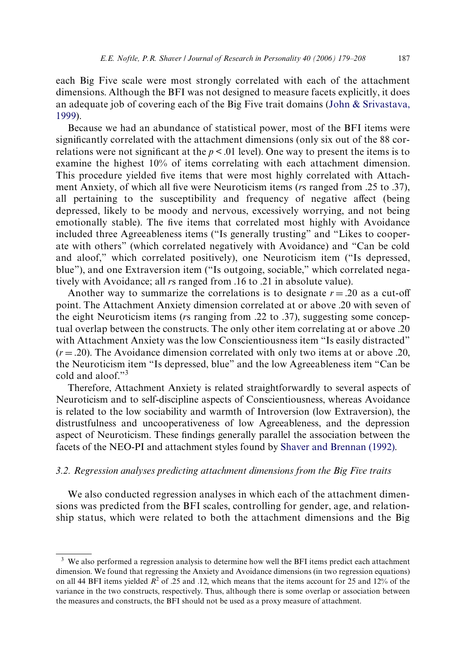each Big Five scale were most strongly correlated with each of the attachment dimensions. Although the BFI was not designed to measure facets explicitly, it does an adequate job of covering each of the Big Five trait domains [\(John & Srivastava,](#page-27-4) [1999](#page-27-4)).

Because we had an abundance of statistical power, most of the BFI items were significantly correlated with the attachment dimensions (only six out of the 88 correlations were not significant at the  $p < 0.01$  level). One way to present the items is to examine the highest 10% of items correlating with each attachment dimension. This procedure yielded five items that were most highly correlated with Attachment Anxiety, of which all five were Neuroticism items (*rs* ranged from .25 to .37), all pertaining to the susceptibility and frequency of negative affect (being depressed, likely to be moody and nervous, excessively worrying, and not being emotionally stable). The five items that correlated most highly with Avoidance included three Agreeableness items ("Is generally trusting" and "Likes to cooperate with others" (which correlated negatively with Avoidance) and "Can be cold and aloof," which correlated positively), one Neuroticism item ("Is depressed, blue"), and one Extraversion item ("Is outgoing, sociable," which correlated negatively with Avoidance; all *r*s ranged from .16 to .21 in absolute value).

Another way to summarize the correlations is to designate  $r = .20$  as a cut-off point. The Attachment Anxiety dimension correlated at or above .20 with seven of the eight Neuroticism items (*r*s ranging from .22 to .37), suggesting some conceptual overlap between the constructs. The only other item correlating at or above .20 with Attachment Anxiety was the low Conscientiousness item "Is easily distracted"  $(r = .20)$ . The Avoidance dimension correlated with only two items at or above .20, the Neuroticism item "Is depressed, blue" and the low Agreeableness item "Can be cold and aloof."<sup>3</sup>

Therefore, Attachment Anxiety is related straightforwardly to several aspects of Neuroticism and to self-discipline aspects of Conscientiousness, whereas Avoidance is related to the low sociability and warmth of Introversion (low Extraversion), the distrustfulness and uncooperativeness of low Agreeableness, and the depression aspect of Neuroticism. These findings generally parallel the association between the facets of the NEO-PI and attachment styles found by [Shaver and Brennan \(1992\)](#page-28-0).

#### *3.2. Regression analyses predicting attachment dimensions from the Big Five traits*

We also conducted regression analyses in which each of the attachment dimensions was predicted from the BFI scales, controlling for gender, age, and relationship status, which were related to both the attachment dimensions and the Big

<sup>&</sup>lt;sup>3</sup> We also performed a regression analysis to determine how well the BFI items predict each attachment dimension. We found that regressing the Anxiety and Avoidance dimensions (in two regression equations) on all 44 BFI items yielded  $R^2$  of .25 and .12, which means that the items account for 25 and 12% of the variance in the two constructs, respectively. Thus, although there is some overlap or association between the measures and constructs, the BFI should not be used as a proxy measure of attachment.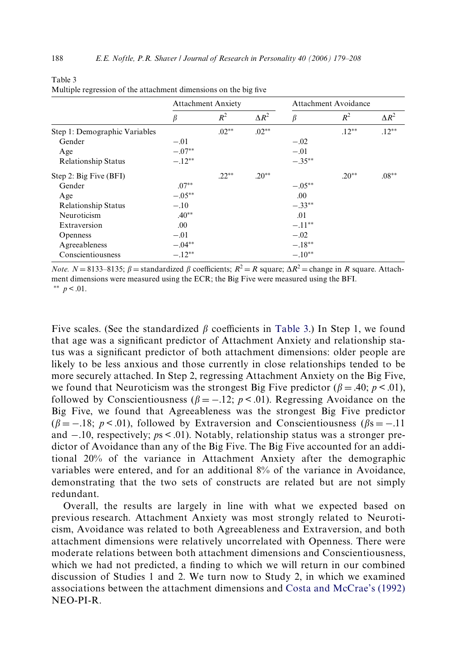|                               |          | <b>Attachment Anxiety</b> |              | Attachment Avoidance |          |              |  |
|-------------------------------|----------|---------------------------|--------------|----------------------|----------|--------------|--|
|                               | β        | $R^2$                     | $\Delta R^2$ | $\beta$              | $R^2$    | $\Delta R^2$ |  |
| Step 1: Demographic Variables |          | $.02**$                   | $.02**$      |                      | $.12***$ | $12^{**}$    |  |
| Gender                        | $-.01$   |                           |              | $-.02$               |          |              |  |
| Age                           | $-.07**$ |                           |              | $-.01$               |          |              |  |
| <b>Relationship Status</b>    | $-.12**$ |                           |              | $-.35***$            |          |              |  |
| Step 2: Big Five (BFI)        |          | $.22**$                   | $.20**$      |                      | $.20**$  | $.08**$      |  |
| Gender                        | $.07**$  |                           |              | $-.05***$            |          |              |  |
| Age                           | $-.05**$ |                           |              | .00.                 |          |              |  |
| <b>Relationship Status</b>    | $-.10$   |                           |              | $-.33**$             |          |              |  |
| Neuroticism                   | $.40**$  |                           |              | .01                  |          |              |  |
| Extraversion                  | .00      |                           |              | $-.11**$             |          |              |  |
| <b>Openness</b>               | $-.01$   |                           |              | $-.02$               |          |              |  |
| Agreeableness                 | $-.04**$ |                           |              | $-.18***$            |          |              |  |
| Conscientiousness             | $-.12**$ |                           |              | $-.10**$             |          |              |  |

| 100IV J                                                          |  |
|------------------------------------------------------------------|--|
| Multiple regression of the attachment dimensions on the big five |  |

*Note.*  $N = 8133-8135$ ;  $\beta =$  standardized  $\beta$  coefficients;  $R^2 = R$  square;  $\Delta R^2 =$  change in *R* square. Attachment dimensions were measured using the ECR; the Big Five were measured using the BFI. \*\*  $p < .01$ .

Five scales. (See the standardized  $\beta$  coefficients in [Table 3.](#page-9-0)) In Step 1, we found that age was a significant predictor of Attachment Anxiety and relationship status was a significant predictor of both attachment dimensions: older people are likely to be less anxious and those currently in close relationships tended to be more securely attached. In Step 2, regressing Attachment Anxiety on the Big Five, we found that Neuroticism was the strongest Big Five predictor ( $\beta = .40$ ;  $p < .01$ ), followed by Conscientiousness ( $\beta = -.12$ ;  $p < .01$ ). Regressing Avoidance on the Big Five, we found that Agreeableness was the strongest Big Five predictor  $(\beta = -.18; p < .01)$ , followed by Extraversion and Conscientiousness ( $\beta$ s = -...11) and  $-.10$ , respectively;  $ps < .01$ ). Notably, relationship status was a stronger predictor of Avoidance than any of the Big Five. The Big Five accounted for an additional 20% of the variance in Attachment Anxiety after the demographic variables were entered, and for an additional 8% of the variance in Avoidance, demonstrating that the two sets of constructs are related but are not simply redundant.

Overall, the results are largely in line with what we expected based on previous research. Attachment Anxiety was most strongly related to Neuroticism, Avoidance was related to both Agreeableness and Extraversion, and both attachment dimensions were relatively uncorrelated with Openness. There were moderate relations between both attachment dimensions and Conscientiousness, which we had not predicted, a finding to which we will return in our combined discussion of Studies 1 and 2. We turn now to Study 2, in which we examined associations between the attachment dimensions and [Costa and McCrae's \(1992\)](#page-26-1) NEO-PI-R.

<span id="page-9-0"></span>Table 3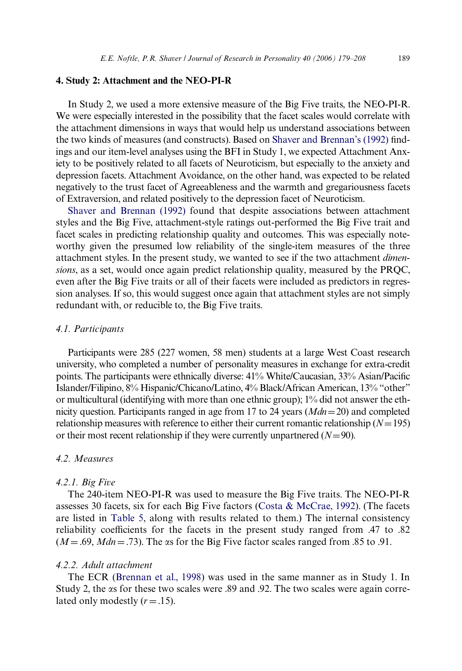#### **4. Study 2: Attachment and the NEO-PI-R**

In Study 2, we used a more extensive measure of the Big Five traits, the NEO-PI-R. We were especially interested in the possibility that the facet scales would correlate with the attachment dimensions in ways that would help us understand associations between the two kinds of measures (and constructs). Based on [Shaver and Brennan's \(1992\)](#page-28-0) findings and our item-level analyses using the BFI in Study 1, we expected Attachment Anxiety to be positively related to all facets of Neuroticism, but especially to the anxiety and depression facets. Attachment Avoidance, on the other hand, was expected to be related negatively to the trust facet of Agreeableness and the warmth and gregariousness facets of Extraversion, and related positively to the depression facet of Neuroticism.

[Shaver and Brennan \(1992\)](#page-28-0) found that despite associations between attachment styles and the Big Five, attachment-style ratings out-performed the Big Five trait and facet scales in predicting relationship quality and outcomes. This was especially noteworthy given the presumed low reliability of the single-item measures of the three attachment styles. In the present study, we wanted to see if the two attachment *dimensions*, as a set, would once again predict relationship quality, measured by the PRQC, even after the Big Five traits or all of their facets were included as predictors in regression analyses. If so, this would suggest once again that attachment styles are not simply redundant with, or reducible to, the Big Five traits.

#### *4.1. Participants*

Participants were 285 (227 women, 58 men) students at a large West Coast research university, who completed a number of personality measures in exchange for extra-credit points. The participants were ethnically diverse:  $41\%$  White/Caucasian,  $33\%$  Asian/Pacific Islander/Filipino, 8% Hispanic/Chicano/Latino, 4% Black/African American, 13% "other" or multicultural (identifying with more than one ethnic group); 1% did not answer the ethnicity question. Participants ranged in age from 17 to 24 years  $(Mdn=20)$  and completed relationship measures with reference to either their current romantic relationship  $(N=195)$ or their most recent relationship if they were currently unpartnered  $(N=90)$ .

#### *4.2. Measures*

#### *4.2.1. Big Five*

The 240-item NEO-PI-R was used to measure the Big Five traits. The NEO-PI-R assesses 30 facets, six for each Big Five factors ([Costa & McCrae, 1992](#page-26-1)). (The facets are listed in [Table 5](#page-13-0), along with results related to them.) The internal consistency reliability coefficients for the facets in the present study ranged from .47 to .82  $(M = .69, Mdn = .73)$ . The  $\alpha$ s for the Big Five factor scales ranged from .85 to .91.

# *4.2.2. Adult attachment*

The ECR [\(Brennan et al., 1998](#page-26-0)) was used in the same manner as in Study 1. In Study 2, the  $\alpha$ s for these two scales were .89 and .92. The two scales were again correlated only modestly  $(r = .15)$ .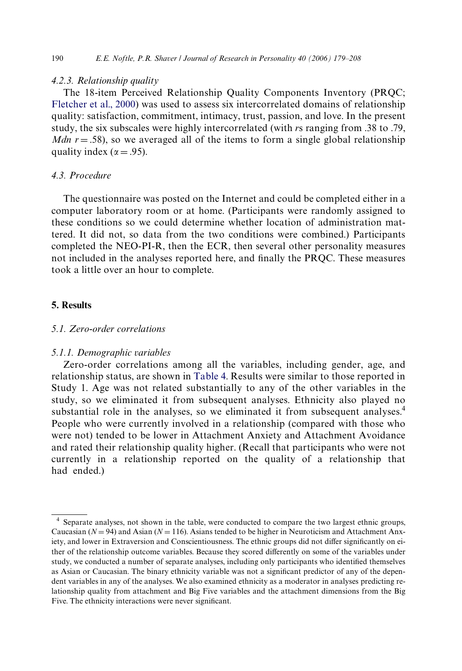### *4.2.3. Relationship quality*

The 18-item Perceived Relationship Quality Components Inventory (PRQC; [Fletcher et al., 2000](#page-26-15)) was used to assess six intercorrelated domains of relationship quality: satisfaction, commitment, intimacy, trust, passion, and love. In the present study, the six subscales were highly intercorrelated (with *r*s ranging from .38 to .79, *Mdn r* = .58), so we averaged all of the items to form a single global relationship quality index ( $\alpha = .95$ ).

#### *4.3. Procedure*

The questionnaire was posted on the Internet and could be completed either in a computer laboratory room or at home. (Participants were randomly assigned to these conditions so we could determine whether location of administration mattered. It did not, so data from the two conditions were combined.) Participants completed the NEO-PI-R, then the ECR, then several other personality measures not included in the analyses reported here, and finally the PRQC. These measures took a little over an hour to complete.

# **5. Results**

#### *5.1. Zero-order correlations*

#### *5.1.1. Demographic variables*

Zero-order correlations among all the variables, including gender, age, and relationship status, are shown in [Table 4](#page-12-0). Results were similar to those reported in Study 1. Age was not related substantially to any of the other variables in the study, so we eliminated it from subsequent analyses. Ethnicity also played no substantial role in the analyses, so we eliminated it from subsequent analyses.<sup>4</sup> People who were currently involved in a relationship (compared with those who were not) tended to be lower in Attachment Anxiety and Attachment Avoidance and rated their relationship quality higher. (Recall that participants who were not currently in a relationship reported on the quality of a relationship that had ended.)

<sup>4</sup> Separate analyses, not shown in the table, were conducted to compare the two largest ethnic groups, Caucasian ( $N = 94$ ) and Asian ( $N = 116$ ). Asians tended to be higher in Neuroticism and Attachment Anxiety, and lower in Extraversion and Conscientiousness. The ethnic groups did not differ significantly on either of the relationship outcome variables. Because they scored differently on some of the variables under study, we conducted a number of separate analyses, including only participants who identified themselves as Asian or Caucasian. The binary ethnicity variable was not a significant predictor of any of the dependent variables in any of the analyses. We also examined ethnicity as a moderator in analyses predicting relationship quality from attachment and Big Five variables and the attachment dimensions from the Big Five. The ethnicity interactions were never significant.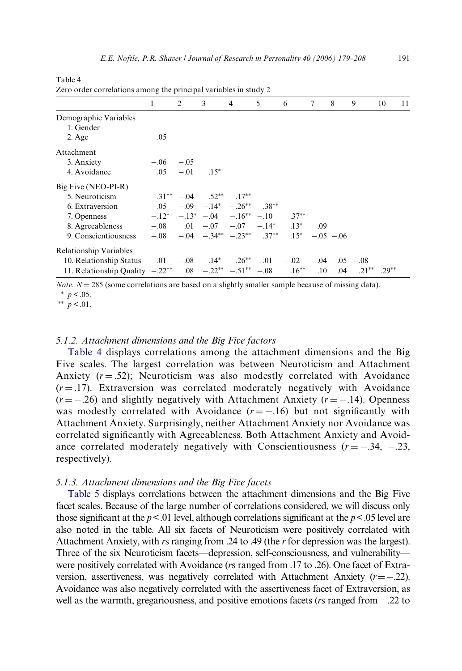| $\mathcal{L}$ cio order correlations among the principal variables in study $\mathcal{L}$ |                                                  |        |                                                      |   |   |        |     |                    |   |                   |    |
|-------------------------------------------------------------------------------------------|--------------------------------------------------|--------|------------------------------------------------------|---|---|--------|-----|--------------------|---|-------------------|----|
|                                                                                           | 1                                                | 2      | 3                                                    | 4 | 5 | 6      | 7   | 8                  | 9 | 10                | 11 |
| Demographic Variables                                                                     |                                                  |        |                                                      |   |   |        |     |                    |   |                   |    |
| 1. Gender                                                                                 |                                                  |        |                                                      |   |   |        |     |                    |   |                   |    |
| $2. \text{Age}$                                                                           | .05                                              |        |                                                      |   |   |        |     |                    |   |                   |    |
| Attachment                                                                                |                                                  |        |                                                      |   |   |        |     |                    |   |                   |    |
| 3. Anxiety                                                                                | $-.06$                                           | $-.05$ |                                                      |   |   |        |     |                    |   |                   |    |
| 4. Avoidance                                                                              | .05                                              | $-.01$ | $.15*$                                               |   |   |        |     |                    |   |                   |    |
| Big Five (NEO-PI-R)                                                                       |                                                  |        |                                                      |   |   |        |     |                    |   |                   |    |
| 5. Neuroticism                                                                            |                                                  |        | $-31^{**}$ $-04$ $.52^{**}$ $.17^{**}$               |   |   |        |     |                    |   |                   |    |
| 6. Extraversion                                                                           |                                                  |        | $-.05 \t - .09 \t - .14^* \t - .26^{**} \t .38^{**}$ |   |   |        |     |                    |   |                   |    |
| 7. Openness                                                                               | $-12^*$ $-13^*$ $-04$ $-16^{**}$ $-10$ $37^{**}$ |        |                                                      |   |   |        |     |                    |   |                   |    |
| 8. Agreeableness $-0.08$ $0.01$ $-0.07$ $-0.07$ $-1.4^*$ $0.13^*$ $0.09$                  |                                                  |        |                                                      |   |   |        |     |                    |   |                   |    |
| 9. Conscientiousness $-0.08$ $-0.04$ $-0.34**$ $-0.23**$ $0.37**$ $0.5$ $0.6$ $0.6$       |                                                  |        |                                                      |   |   |        |     |                    |   |                   |    |
| Relationship Variables                                                                    |                                                  |        |                                                      |   |   |        |     |                    |   |                   |    |
| 10. Relationship Status $.01 - .08$ $.14^*$ $.26^{**}$ .01                                |                                                  |        |                                                      |   |   | $-.02$ |     | $.04$ $.05$ $-.08$ |   |                   |    |
| 11. Relationship Quality $-.22^{**}$ .08 $-.22^{**}$ $-.51^{**}$ $-.08$ .16 <sup>**</sup> |                                                  |        |                                                      |   |   |        | .10 | .04                |   | $.21***$ $.29***$ |    |

<span id="page-12-0"></span>Table 4 Zero order correlations among the principal variables in study 2

*Note.*  $N = 285$  (some correlations are based on a slightly smaller sample because of missing data).

 $*$   $p < .05$ .

 $*$  *p* < .01.

# *5.1.2. Attachment dimensions and the Big Five factors*

[Table 4](#page-12-0) displays correlations among the attachment dimensions and the Big Five scales. The largest correlation was between Neuroticism and Attachment Anxiety  $(r = .52)$ ; Neuroticism was also modestly correlated with Avoidance  $(r = .17)$ . Extraversion was correlated moderately negatively with Avoidance  $(r = -.26)$  and slightly negatively with Attachment Anxiety  $(r = -.14)$ . Openness was modestly correlated with Avoidance  $(r = -.16)$  but not significantly with Attachment Anxiety. Surprisingly, neither Attachment Anxiety nor Avoidance was correlated significantly with Agreeableness. Both Attachment Anxiety and Avoidance correlated moderately negatively with Conscientiousness  $(r = -.34, -.23, ...)$ respectively).

# *5.1.3. Attachment dimensions and the Big Five facets*

[Table 5](#page-13-0) displays correlations between the attachment dimensions and the Big Five facet scales. Because of the large number of correlations considered, we will discuss only those significant at the  $p < 01$  level, although correlations significant at the  $p < 05$  level are also noted in the table. All six facets of Neuroticism were positively correlated with Attachment Anxiety, with *r*s ranging from .24 to .49 (the *r* for depression was the largest). Three of the six Neuroticism facets—depression, self-consciousness, and vulnerability were positively correlated with Avoidance (*r*s ranged from .17 to .26). One facet of Extraversion, assertiveness, was negatively correlated with Attachment Anxiety  $(r=-.22)$ . Avoidance was also negatively correlated with the assertiveness facet of Extraversion, as well as the warmth, gregariousness, and positive emotions facets ( $r s$  ranged from  $-.22$  to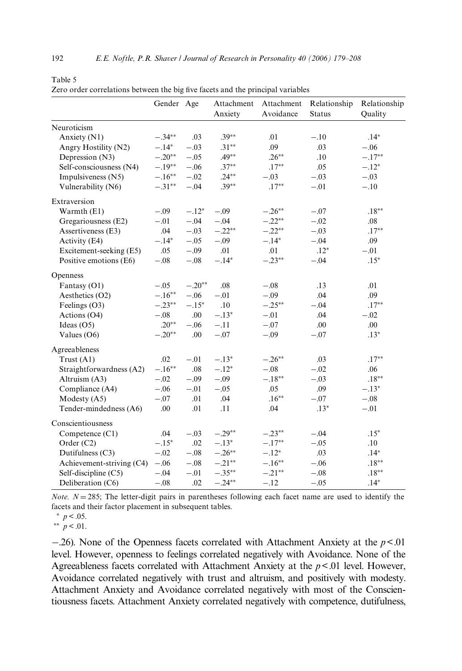|                           | Gender Age |          | Anxiety   | Attachment Attachment<br>Avoidance | Relationship<br><b>Status</b> | Relationship<br>Quality |
|---------------------------|------------|----------|-----------|------------------------------------|-------------------------------|-------------------------|
| Neuroticism               |            |          |           |                                    |                               |                         |
| Anxiety (N1)              | $-.34**$   | .03      | $.39**$   | .01                                | $-.10$                        | $.14*$                  |
| Angry Hostility (N2)      | $-.14*$    | $-.03$   | $.31***$  | .09                                | .03                           | $-.06$                  |
| Depression (N3)           | $-.20**$   | $-.05$   | $.49**$   | $.26***$                           | .10                           | $-.17**$                |
| Self-consciousness (N4)   | $-.19***$  | $-.06$   | $.37***$  | $.17***$                           | .05                           | $-.12*$                 |
| Impulsiveness (N5)        | $-.16**$   | $-.02$   | $.24**$   | $-.03$                             | $-.03$                        | $-.03$                  |
| Vulnerability (N6)        | $-.31**$   | $-.04$   | $.39**$   | $.17***$                           | $-.01$                        | $-.10$                  |
| Extraversion              |            |          |           |                                    |                               |                         |
| Warmth (E1)               | $-.09$     | $-.12*$  | $-.09$    | $-.26**$                           | $-.07$                        | $.18**$                 |
| Gregariousness (E2)       | $-.01$     | $-.04$   | $-.04$    | $-.22**$                           | $-.02$                        | .08                     |
| Assertiveness (E3)        | .04        | $-.03$   | $-.22**$  | $-.22**$                           | $-.03$                        | $.17**$                 |
| Activity (E4)             | $-.14*$    | $-.05$   | $-.09$    | $-.14*$                            | $-.04$                        | .09                     |
| Excitement-seeking (E5)   | .05        | $-.09$   | .01       | .01                                | $.12*$                        | $-.01$                  |
| Positive emotions (E6)    | $-.08$     | $-.08$   | $-.14*$   | $-.23**$                           | $-.04$                        | $.15*$                  |
| Openness                  |            |          |           |                                    |                               |                         |
| Fantasy (O1)              | $-.05$     | $-.20**$ | .08       | $-.08$                             | .13                           | .01                     |
| Aesthetics (O2)           | $-.16**$   | $-.06$   | $-.01$    | $-.09$                             | .04                           | .09                     |
| Feelings (O3)             | $-.23**$   | $-.15*$  | .10       | $-.25**$                           | $-.04$                        | $.17**$                 |
| Actions (O4)              | $-.08$     | .00      | $-.13*$   | $-.01$                             | .04                           | $-.02$                  |
| Ideas $(O5)$              | $.20**$    | $-.06$   | $-.11$    | $-.07$                             | .00                           | .00                     |
| Values (O6)               | $-.20**$   | .00      | $-.07$    | $-.09$                             | $-.07$                        | $.13*$                  |
| Agreeableness             |            |          |           |                                    |                               |                         |
| Trust (A1)                | .02        | $-.01$   | $-.13*$   | $-.26**$                           | .03                           | $.17***$                |
| Straightforwardness (A2)  | $-.16***$  | .08      | $-.12*$   | $-.08$                             | $-.02$                        | .06                     |
| Altruism (A3)             | $-.02$     | $-.09$   | $-.09$    | $-.18**$                           | $-.03$                        | $.18**$                 |
| Compliance (A4)           | $-.06$     | $-.01$   | $-.05$    | .05                                | .09                           | $-.13*$                 |
| Modesty $(A5)$            | $-.07$     | .01      | .04       | $.16***$                           | $-.07$                        | $-.08$                  |
| Tender-mindedness (A6)    | .00        | .01      | .11       | .04                                | $.13*$                        | $-.01$                  |
| Conscientiousness         |            |          |           |                                    |                               |                         |
| Competence (C1)           | .04        | $-.03$   | $-.29**$  | $-.23**$                           | $-.04$                        | $.15*$                  |
| Order (C2)                | $-.15*$    | .02      | $-.13*$   | $-.17**$                           | $-.05$                        | .10                     |
| Dutifulness (C3)          | $-.02$     | $-.08$   | $-.26**$  | $-.12*$                            | .03                           | $.14*$                  |
| Achievement-striving (C4) | $-.06$     | $-.08$   | $-.21**$  | $-.16**$                           | $-.06$                        | $.18**$                 |
| Self-discipline (C5)      | $-.04$     | $-.01$   | $-.35***$ | $-.21**$                           | $-.08$                        | $.18^{\ast\ast}$        |
| Deliberation (C6)         | $-.08$     | .02      | $-.24**$  | $-.12$                             | $-.05$                        | $.14*$                  |

<span id="page-13-0"></span>

| Table 5 |                                                                                 |  |  |  |  |  |
|---------|---------------------------------------------------------------------------------|--|--|--|--|--|
|         | Zero order correlations between the big five facets and the principal variables |  |  |  |  |  |

*Note.*  $N = 285$ ; The letter-digit pairs in parentheses following each facet name are used to identify the facets and their factor placement in subsequent tables.

 $p < .05$ .

\*\*  $p < 01$ .

 $-0.26$ ). None of the Openness facets correlated with Attachment Anxiety at the  $p < 0.01$ level. However, openness to feelings correlated negatively with Avoidance. None of the Agreeableness facets correlated with Attachment Anxiety at the *p*<.01 level. However, Avoidance correlated negatively with trust and altruism, and positively with modesty. Attachment Anxiety and Avoidance correlated negatively with most of the Conscientiousness facets. Attachment Anxiety correlated negatively with competence, dutifulness,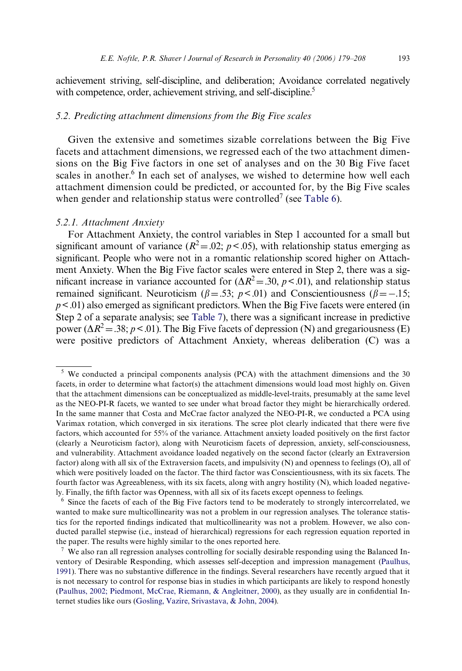achievement striving, self-discipline, and deliberation; Avoidance correlated negatively with competence, order, achievement striving, and self-discipline.<sup>5</sup>

# *5.2. Predicting attachment dimensions from the Big Five scales*

Given the extensive and sometimes sizable correlations between the Big Five facets and attachment dimensions, we regressed each of the two attachment dimensions on the Big Five factors in one set of analyses and on the 30 Big Five facet scales in another.<sup>6</sup> In each set of analyses, we wished to determine how well each attachment dimension could be predicted, or accounted for, by the Big Five scales when gender and relationship status were controlled<sup>7</sup> (see [Table 6](#page-15-0)).

#### *5.2.1. Attachment Anxiety*

For Attachment Anxiety, the control variables in Step 1 accounted for a small but significant amount of variance ( $R^2 = 0.02$ ;  $p < 0.05$ ), with relationship status emerging as significant. People who were not in a romantic relationship scored higher on Attachment Anxiety. When the Big Five factor scales were entered in Step 2, there was a significant increase in variance accounted for  $(\Delta R^2 = .30, p < .01)$ , and relationship status remained significant. Neuroticism ( $\beta$ =.53; *p*<.01) and Conscientiousness ( $\beta$ =-.15;  $p < .01$ ) also emerged as significant predictors. When the Big Five facets were entered (in Step 2 of a separate analysis; see [Table 7\)](#page-16-0), there was a significant increase in predictive power ( $\Delta R^2$  = .38; *p* < .01). The Big Five facets of depression (N) and gregariousness (E) were positive predictors of Attachment Anxiety, whereas deliberation (C) was a

<sup>&</sup>lt;sup>5</sup> We conducted a principal components analysis (PCA) with the attachment dimensions and the 30 facets, in order to determine what factor(s) the attachment dimensions would load most highly on. Given that the attachment dimensions can be conceptualized as middle-level-traits, presumably at the same level as the NEO-PI-R facets, we wanted to see under what broad factor they might be hierarchically ordered. In the same manner that Costa and McCrae factor analyzed the NEO-PI-R, we conducted a PCA using Varimax rotation, which converged in six iterations. The scree plot clearly indicated that there were five factors, which accounted for 55% of the variance. Attachment anxiety loaded positively on the first factor (clearly a Neuroticism factor), along with Neuroticism facets of depression, anxiety, self-consciousness, and vulnerability. Attachment avoidance loaded negatively on the second factor (clearly an Extraversion factor) along with all six of the Extraversion facets, and impulsivity (N) and openness to feelings (O), all of which were positively loaded on the factor. The third factor was Conscientiousness, with its six facets. The fourth factor was Agreeableness, with its six facets, along with angry hostility (N), which loaded negatively. Finally, the fifth factor was Openness, with all six of its facets except openness to feelings.

<sup>&</sup>lt;sup>6</sup> Since the facets of each of the Big Five factors tend to be moderately to strongly intercorrelated, we wanted to make sure multicollinearity was not a problem in our regression analyses. The tolerance statistics for the reported findings indicated that multicollinearity was not a problem. However, we also conducted parallel stepwise (i.e., instead of hierarchical) regressions for each regression equation reported in the paper. The results were highly similar to the ones reported here.

<sup>&</sup>lt;sup>7</sup> We also ran all regression analyses controlling for socially desirable responding using the Balanced Inventory of Desirable Responding, which assesses self-deception and impression management [\(Paulhus,](#page-27-11) [1991\)](#page-27-11). There was no substantive difference in the findings. Several researchers have recently argued that it is not necessary to control for response bias in studies in which participants are likely to respond honestly [\(Paulhus, 2002; Piedmont, McCrae, Riemann, & Angleitner, 2000\)](#page-28-7), as they usually are in confidential Internet studies like ours ([Gosling, Vazire, Srivastava, & John, 2004\)](#page-27-12).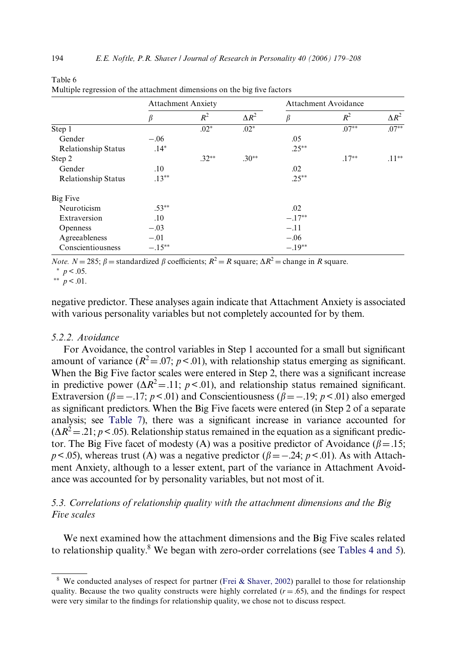|                            | <b>Attachment Anxiety</b> |         |              |          | Attachment Avoidance |              |  |  |  |
|----------------------------|---------------------------|---------|--------------|----------|----------------------|--------------|--|--|--|
|                            | β                         | $R^2$   | $\Delta R^2$ | β        | $R^2$                | $\Delta R^2$ |  |  |  |
| $\overline{Step 1}$        |                           | $.02*$  | $.02*$       |          | $.07**$              | $.07***$     |  |  |  |
| Gender                     | $-.06$                    |         |              | .05      |                      |              |  |  |  |
| <b>Relationship Status</b> | $.14*$                    |         |              | $.25***$ |                      |              |  |  |  |
| Step 2                     |                           | $.32**$ | $.30**$      |          | $.17***$             | $.11**$      |  |  |  |
| Gender                     | .10                       |         |              | .02      |                      |              |  |  |  |
| <b>Relationship Status</b> | $.13**$                   |         |              | $.25***$ |                      |              |  |  |  |
| Big Five                   |                           |         |              |          |                      |              |  |  |  |
| Neuroticism                | $.53***$                  |         |              | .02      |                      |              |  |  |  |
| Extraversion               | .10                       |         |              | $-.17**$ |                      |              |  |  |  |
| Openness                   | $-.03$                    |         |              | $-.11$   |                      |              |  |  |  |
| Agreeableness              | $-.01$                    |         |              | $-.06$   |                      |              |  |  |  |
| Conscientiousness          | $-.15***$                 |         |              | $-.19**$ |                      |              |  |  |  |

| ------                                                                   |  |  |
|--------------------------------------------------------------------------|--|--|
| Multiple regression of the attachment dimensions on the big five factors |  |  |

*Note.*  $N = 285$ ;  $\beta =$  standardized  $\beta$  coefficients;  $R^2 = R$  square;  $\Delta R^2 =$  change in *R* square.

 $*$   $p < .05$ .

<span id="page-15-0"></span>Table 6

\*\*  $p < .01$ .

negative predictor. These analyses again indicate that Attachment Anxiety is associated with various personality variables but not completely accounted for by them.

#### *5.2.2. Avoidance*

For Avoidance, the control variables in Step 1 accounted for a small but significant amount of variance  $(R^2 = 0.07; p < 0.01)$ , with relationship status emerging as significant. When the Big Five factor scales were entered in Step 2, there was a significant increase in predictive power ( $\Delta R^2$  = .11; *p* < .01), and relationship status remained significant. Extraversion ( $\beta = -17$ ;  $p < .01$ ) and Conscientiousness ( $\beta = -19$ ;  $p < .01$ ) also emerged as significant predictors. When the Big Five facets were entered (in Step 2 of a separate analysis; see [Table 7\)](#page-16-0), there was a significant increase in variance accounted for  $(\Delta R^2 = 0.21; p < 0.05)$ . Relationship status remained in the equation as a significant predictor. The Big Five facet of modesty (A) was a positive predictor of Avoidance ( $\beta$  = .15;  $p$ <.05), whereas trust (A) was a negative predictor ( $\beta$ = -.24;  $p$  <.01). As with Attachment Anxiety, although to a lesser extent, part of the variance in Attachment Avoidance was accounted for by personality variables, but not most of it.

# *5.3. Correlations of relationship quality with the attachment dimensions and the Big Five scales*

We next examined how the attachment dimensions and the Big Five scales related to relationship quality.<sup>8</sup> We began with zero-order correlations (see [Tables 4 and 5\)](#page-12-0).

<sup>&</sup>lt;sup>8</sup> We conducted analyses of respect for partner [\(Frei & Shaver, 2002](#page-26-16)) parallel to those for relationship quality. Because the two quality constructs were highly correlated  $(r = .65)$ , and the findings for respect were very similar to the findings for relationship quality, we chose not to discuss respect.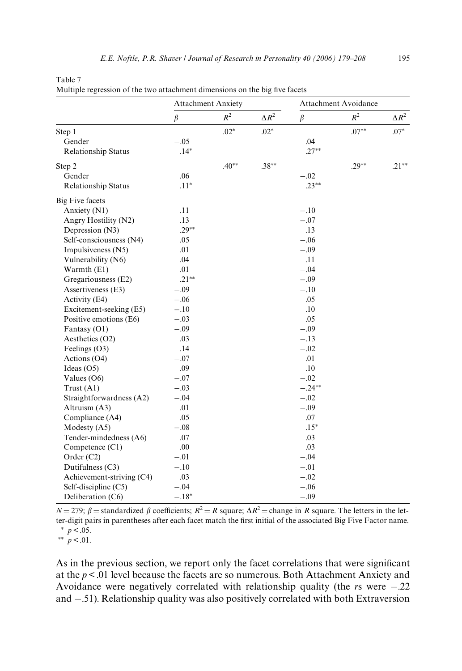| 8 |  |  | 1 |
|---|--|--|---|
|   |  |  |   |
|   |  |  |   |

|                            | <b>Attachment Anxiety</b> |         |              | <b>Attachment Avoidance</b> |          |              |
|----------------------------|---------------------------|---------|--------------|-----------------------------|----------|--------------|
|                            | $\beta$                   | $R^2$   | $\Delta R^2$ | $\beta$                     | $R^2$    | $\Delta R^2$ |
| Step 1                     |                           | $.02*$  | $.02*$       |                             | $.07***$ | $.07*$       |
| Gender                     | $-.05$                    |         |              | .04                         |          |              |
| Relationship Status        | $.14*$                    |         |              | $.27**$                     |          |              |
| Step 2                     |                           | $.40**$ | $.38**$      |                             | $.29**$  | $.21***$     |
| Gender                     | .06                       |         |              | $-.02$                      |          |              |
| <b>Relationship Status</b> | $.11*$                    |         |              | $.23***$                    |          |              |
| <b>Big Five facets</b>     |                           |         |              |                             |          |              |
| Anxiety (N1)               | .11                       |         |              | $-.10$                      |          |              |
| Angry Hostility (N2)       | .13                       |         |              | $-.07$                      |          |              |
| Depression (N3)            | $.29***$                  |         |              | .13                         |          |              |
| Self-consciousness (N4)    | .05                       |         |              | $-.06$                      |          |              |
| Impulsiveness (N5)         | .01                       |         |              | $-.09$                      |          |              |
| Vulnerability (N6)         | .04                       |         |              | .11                         |          |              |
| Warmth (E1)                | .01                       |         |              | $-.04$                      |          |              |
| Gregariousness (E2)        | $.21**$                   |         |              | $-.09$                      |          |              |
| Assertiveness (E3)         | $-.09$                    |         |              | $-.10$                      |          |              |
| Activity (E4)              | $-.06$                    |         |              | .05                         |          |              |
| Excitement-seeking (E5)    | $-.10$                    |         |              | .10                         |          |              |
| Positive emotions (E6)     | $-.03$                    |         |              | .05                         |          |              |
| Fantasy (O1)               | $-.09$                    |         |              | $-.09$                      |          |              |
| Aesthetics (O2)            | .03                       |         |              | $-.13$                      |          |              |
| Feelings (O3)              | .14                       |         |              | $-.02$                      |          |              |
| Actions (O4)               | $-.07$                    |         |              | .01                         |          |              |
| Ideas $(O5)$               | .09                       |         |              | .10                         |          |              |
| Values $(06)$              | $-.07$                    |         |              | $-.02$                      |          |              |
| Trust $(A1)$               | $-.03$                    |         |              | $-.24**$                    |          |              |
| Straightforwardness (A2)   | $-.04$                    |         |              | $-.02$                      |          |              |
| Altruism (A3)              | .01                       |         |              | $-.09$                      |          |              |
| Compliance (A4)            | .05                       |         |              | .07                         |          |              |
| Modesty $(A5)$             | $-.08$                    |         |              | $.15*$                      |          |              |
| Tender-mindedness (A6)     | .07                       |         |              | .03                         |          |              |
| Competence (C1)            | .00                       |         |              | .03                         |          |              |
| Order (C2)                 | $-.01$                    |         |              | $-.04$                      |          |              |
| Dutifulness (C3)           | $-.10$                    |         |              | $-.01$                      |          |              |
| Achievement-striving (C4)  | .03                       |         |              | $-.02$                      |          |              |
| Self-discipline $(C5)$     | $-.04$                    |         |              | $-.06$                      |          |              |

<span id="page-16-0"></span>Table 7

|  |  | Multiple regression of the two attachment dimensions on the big five facets |  |  |
|--|--|-----------------------------------------------------------------------------|--|--|
|  |  |                                                                             |  |  |
|  |  |                                                                             |  |  |
|  |  |                                                                             |  |  |

 $N = 279$ ;  $\beta$  = standardized  $\beta$  coefficients;  $R^2 = R$  square;  $\Delta R^2$  = change in *R* square. The letters in the letter-digit pairs in parentheses after each facet match the first initial of the associated Big Five Factor name.  $*$   $p < .05$ .

Deliberation  $(C6)$   $-18^*$   $-09$ 

\*\*  $p < 0.01$ .

As in the previous section, we report only the facet correlations that were significant at the *p*< .01 level because the facets are so numerous. Both Attachment Anxiety and Avoidance were negatively correlated with relationship quality (the  $r_s$  were  $-.22$ ) and  $-.51$ ). Relationship quality was also positively correlated with both Extraversion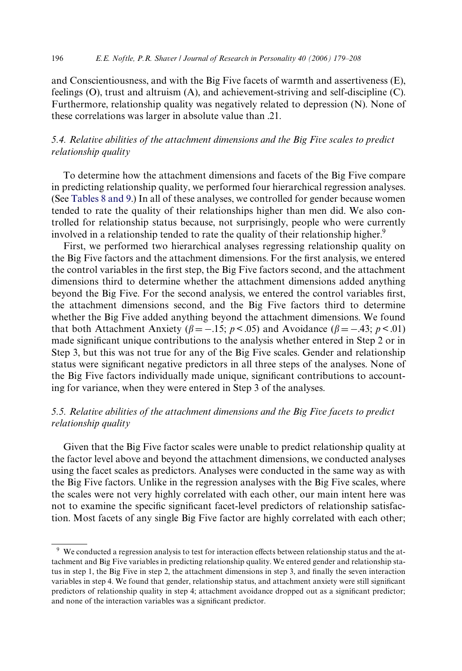and Conscientiousness, and with the Big Five facets of warmth and assertiveness (E), feelings (O), trust and altruism (A), and achievement-striving and self-discipline (C). Furthermore, relationship quality was negatively related to depression (N). None of these correlations was larger in absolute value than .21.

# *5.4. Relative abilities of the attachment dimensions and the Big Five scales to predict relationship quality*

To determine how the attachment dimensions and facets of the Big Five compare in predicting relationship quality, we performed four hierarchical regression analyses. (See [Tables 8 and 9.](#page-18-0)) In all of these analyses, we controlled for gender because women tended to rate the quality of their relationships higher than men did. We also controlled for relationship status because, not surprisingly, people who were currently involved in a relationship tended to rate the quality of their relationship higher.<sup>9</sup>

First, we performed two hierarchical analyses regressing relationship quality on the Big Five factors and the attachment dimensions. For the first analysis, we entered the control variables in the first step, the Big Five factors second, and the attachment dimensions third to determine whether the attachment dimensions added anything beyond the Big Five. For the second analysis, we entered the control variables first, the attachment dimensions second, and the Big Five factors third to determine whether the Big Five added anything beyond the attachment dimensions. We found that both Attachment Anxiety ( $\beta = -.15$ ;  $p < .05$ ) and Avoidance ( $\beta = -.43$ ;  $p < .01$ ) made significant unique contributions to the analysis whether entered in Step 2 or in Step 3, but this was not true for any of the Big Five scales. Gender and relationship status were significant negative predictors in all three steps of the analyses. None of the Big Five factors individually made unique, significant contributions to accounting for variance, when they were entered in Step 3 of the analyses.

# *5.5. Relative abilities of the attachment dimensions and the Big Five facets to predict relationship quality*

Given that the Big Five factor scales were unable to predict relationship quality at the factor level above and beyond the attachment dimensions, we conducted analyses using the facet scales as predictors. Analyses were conducted in the same way as with the Big Five factors. Unlike in the regression analyses with the Big Five scales, where the scales were not very highly correlated with each other, our main intent here was not to examine the specific significant facet-level predictors of relationship satisfaction. Most facets of any single Big Five factor are highly correlated with each other;

<sup>&</sup>lt;sup>9</sup> We conducted a regression analysis to test for interaction effects between relationship status and the attachment and Big Five variables in predicting relationship quality. We entered gender and relationship status in step 1, the Big Five in step 2, the attachment dimensions in step 3, and finally the seven interaction variables in step 4. We found that gender, relationship status, and attachment anxiety were still significant predictors of relationship quality in step 4; attachment avoidance dropped out as a significant predictor; and none of the interaction variables was a significant predictor.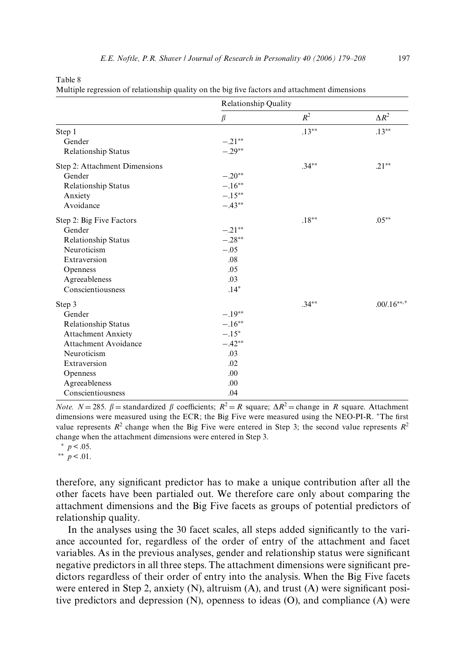<span id="page-18-0"></span>

| anie |  |
|------|--|
|------|--|

|  | Multiple regression of relationship quality on the big five factors and attachment dimensions |  |  |  |
|--|-----------------------------------------------------------------------------------------------|--|--|--|
|  |                                                                                               |  |  |  |
|  |                                                                                               |  |  |  |
|  |                                                                                               |  |  |  |

|                               | Relationship Quality |          |               |
|-------------------------------|----------------------|----------|---------------|
|                               | $\beta$              | $R^2$    | $\Delta R^2$  |
| Step 1                        |                      | $.13***$ | $.13***$      |
| Gender                        | $-.21**$             |          |               |
| <b>Relationship Status</b>    | $-.29**$             |          |               |
| Step 2: Attachment Dimensions |                      | $.34***$ | $.21***$      |
| Gender                        | $-.20**$             |          |               |
| Relationship Status           | $-.16***$            |          |               |
| Anxiety                       | $-.15**$             |          |               |
| Avoidance                     | $-.43**$             |          |               |
| Step 2: Big Five Factors      |                      | $.18**$  | $.05***$      |
| Gender                        | $-.21***$            |          |               |
| Relationship Status           | $-.28**$             |          |               |
| Neuroticism                   | $-.05$               |          |               |
| Extraversion                  | .08                  |          |               |
| Openness                      | .05                  |          |               |
| Agreeableness                 | .03                  |          |               |
| Conscientiousness             | $.14*$               |          |               |
| Step 3                        |                      | $.34***$ | $.00/0.16***$ |
| Gender                        | $-.19**$             |          |               |
| <b>Relationship Status</b>    | $-.16**$             |          |               |
| <b>Attachment Anxiety</b>     | $-.15*$              |          |               |
| <b>Attachment Avoidance</b>   | $-.42**$             |          |               |
| Neuroticism                   | .03                  |          |               |
| Extraversion                  | .02                  |          |               |
| Openness                      | .00                  |          |               |
| Agreeableness                 | .00                  |          |               |
| Conscientiousness             | .04                  |          |               |

*Note.*  $N = 285$ .  $\beta =$  standardized  $\beta$  coefficients;  $R^2 = R$  square;  $\Delta R^2 =$  change in *R* square. Attachment dimensions were measured using the ECR; the Big Five were measured using the NEO-PI-R. <sup>+</sup>The first value represents  $R^2$  change when the Big Five were entered in Step 3; the second value represents  $R^2$ change when the attachment dimensions were entered in Step 3.

 $*$   $p < .05$ .

 $*$  *p* < .01.

therefore, any significant predictor has to make a unique contribution after all the other facets have been partialed out. We therefore care only about comparing the attachment dimensions and the Big Five facets as groups of potential predictors of relationship quality.

In the analyses using the 30 facet scales, all steps added significantly to the variance accounted for, regardless of the order of entry of the attachment and facet variables. As in the previous analyses, gender and relationship status were significant negative predictors in all three steps. The attachment dimensions were significant predictors regardless of their order of entry into the analysis. When the Big Five facets were entered in Step 2, anxiety  $(N)$ , altruism  $(A)$ , and trust  $(A)$  were significant positive predictors and depression (N), openness to ideas (O), and compliance (A) were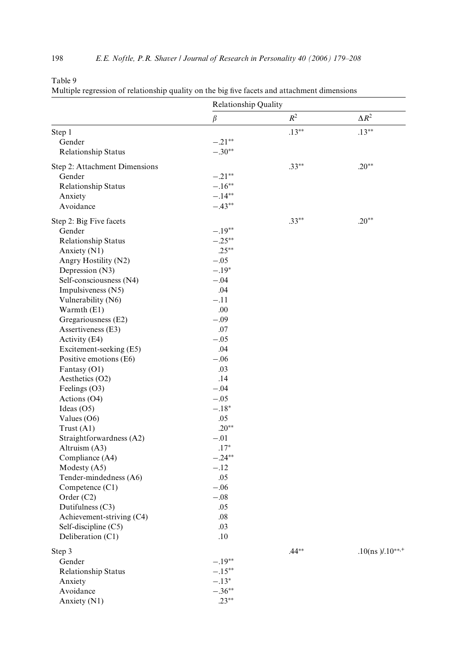|--|--|

|                                      | <b>Relationship Quality</b> |          |                          |  |
|--------------------------------------|-----------------------------|----------|--------------------------|--|
|                                      | $\beta$                     | $R^2$    | $\Delta R^2$             |  |
| Step 1                               |                             | $.13***$ | $.13***$                 |  |
| Gender                               | $-.21**$                    |          |                          |  |
| <b>Relationship Status</b>           | $-.30**$                    |          |                          |  |
|                                      |                             | $.33**$  | $.20**$                  |  |
| Step 2: Attachment Dimensions        | $-.21**$                    |          |                          |  |
| Gender<br><b>Relationship Status</b> | $-.16**$                    |          |                          |  |
| Anxiety                              | $-.14**$                    |          |                          |  |
| Avoidance                            | $-.43**$                    |          |                          |  |
|                                      |                             |          |                          |  |
| Step 2: Big Five facets              |                             | $.33***$ | $.20**$                  |  |
| Gender                               | $-.19**$                    |          |                          |  |
| <b>Relationship Status</b>           | $-.25**$                    |          |                          |  |
| Anxiety (N1)                         | $.25***$                    |          |                          |  |
| Angry Hostility (N2)                 | $-.05$                      |          |                          |  |
| Depression (N3)                      | $-.19*$                     |          |                          |  |
| Self-consciousness (N4)              | $-.04$                      |          |                          |  |
| Impulsiveness (N5)                   | .04                         |          |                          |  |
| Vulnerability (N6)                   | $-.11$                      |          |                          |  |
| Warmth (E1)                          | .00                         |          |                          |  |
| Gregariousness (E2)                  | $-.09$                      |          |                          |  |
| Assertiveness (E3)                   | .07                         |          |                          |  |
| Activity (E4)                        | $-.05$                      |          |                          |  |
| Excitement-seeking (E5)              | .04                         |          |                          |  |
| Positive emotions (E6)               | $-.06$                      |          |                          |  |
| Fantasy (O1)                         | .03                         |          |                          |  |
| Aesthetics (O2)                      | .14                         |          |                          |  |
| Feelings $(O3)$                      | $-.04$                      |          |                          |  |
| Actions (O4)                         | $-.05$                      |          |                          |  |
| Ideas $(O5)$                         | $-.18*$                     |          |                          |  |
| Values $(06)$                        | .05                         |          |                          |  |
| Trust (A1)                           | $.20**$                     |          |                          |  |
| Straightforwardness (A2)             | $-.01$                      |          |                          |  |
| Altruism (A3)                        | $.17*$                      |          |                          |  |
| Compliance (A4)                      | $-.24**$                    |          |                          |  |
| Modesty (A5)                         | $-.12$                      |          |                          |  |
| Tender-mindedness (A6)               | .05                         |          |                          |  |
| Competence $(C1)$                    | $-.06$                      |          |                          |  |
| Order (C2)                           | $-.08$                      |          |                          |  |
| Dutifulness (C3)                     | .05                         |          |                          |  |
| Achievement-striving (C4)            | .08                         |          |                          |  |
| Self-discipline (C5)                 | .03                         |          |                          |  |
| Deliberation (C1)                    | .10                         |          |                          |  |
| Step 3                               |                             | $.44**$  | $.10$ (ns )/. $10^{***}$ |  |
| Gender                               | $-.19**$                    |          |                          |  |
| <b>Relationship Status</b>           | $-.15***$                   |          |                          |  |
| Anxiety                              | $-.13*$                     |          |                          |  |
| Avoidance                            | $-.36**$                    |          |                          |  |
| Anxiety (N1)                         | $.23***$                    |          |                          |  |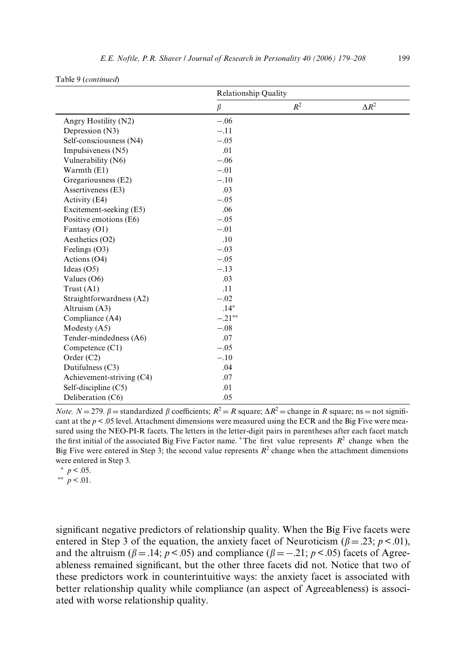| 2000 / 17 / 200 |  |  |
|-----------------|--|--|
|                 |  |  |
|                 |  |  |
|                 |  |  |
|                 |  |  |
|                 |  |  |
|                 |  |  |

|                           | <b>Relationship Quality</b> |       |              |  |
|---------------------------|-----------------------------|-------|--------------|--|
|                           | $\beta$                     | $R^2$ | $\Delta R^2$ |  |
| Angry Hostility (N2)      | $-.06$                      |       |              |  |
| Depression (N3)           | $-.11$                      |       |              |  |
| Self-consciousness (N4)   | $-.05$                      |       |              |  |
| Impulsiveness (N5)        | .01                         |       |              |  |
| Vulnerability (N6)        | $-.06$                      |       |              |  |
| Warmth (E1)               | $-.01$                      |       |              |  |
| Gregariousness (E2)       | $-.10$                      |       |              |  |
| Assertiveness (E3)        | .03                         |       |              |  |
| Activity (E4)             | $-.05$                      |       |              |  |
| Excitement-seeking (E5)   | .06                         |       |              |  |
| Positive emotions (E6)    | $-.05$                      |       |              |  |
| Fantasy (O1)              | $-.01$                      |       |              |  |
| Aesthetics (O2)           | .10                         |       |              |  |
| Feelings $(O3)$           | $-.03$                      |       |              |  |
| Actions (O4)              | $-.05$                      |       |              |  |
| Ideas $(O5)$              | $-.13$                      |       |              |  |
| Values $(06)$             | .03                         |       |              |  |
| Trust $(A1)$              | .11                         |       |              |  |
| Straightforwardness (A2)  | $-.02$                      |       |              |  |
| Altruism (A3)             | $.14*$                      |       |              |  |
| Compliance (A4)           | $-.21**$                    |       |              |  |
| Modesty $(A5)$            | $-.08$                      |       |              |  |
| Tender-mindedness (A6)    | .07                         |       |              |  |
| Competence $(Cl)$         | $-.05$                      |       |              |  |
| Order $(C2)$              | $-.10$                      |       |              |  |
| Dutifulness (C3)          | .04                         |       |              |  |
| Achievement-striving (C4) | .07                         |       |              |  |
| Self-discipline $(C5)$    | .01                         |       |              |  |
| Deliberation (C6)         | .05                         |       |              |  |

*Note.*  $N = 279$ .  $\beta =$  standardized  $\beta$  coefficients;  $R^2 = R$  square;  $\Delta R^2 =$  change in *R* square; ns = not significant at the  $p < 0.05$  level. Attachment dimensions were measured using the ECR and the Big Five were measured using the NEO-PI-R facets. The letters in the letter-digit pairs in parentheses after each facet match the first initial of the associated Big Five Factor name.  $+$ The first value represents  $R^2$  change when the Big Five were entered in Step 3; the second value represents  $R^2$  change when the attachment dimensions were entered in Step 3.

 $*$   $p < .05$ .

Table 9 (*continued*)

\*\*  $p < .01$ .

significant negative predictors of relationship quality. When the Big Five facets were entered in Step 3 of the equation, the anxiety facet of Neuroticism ( $\beta = .23$ ;  $p < .01$ ), and the altruism ( $\beta = .14$ ;  $p < .05$ ) and compliance ( $\beta = -.21$ ;  $p < .05$ ) facets of Agreeableness remained significant, but the other three facets did not. Notice that two of these predictors work in counterintuitive ways: the anxiety facet is associated with better relationship quality while compliance (an aspect of Agreeableness) is associated with worse relationship quality.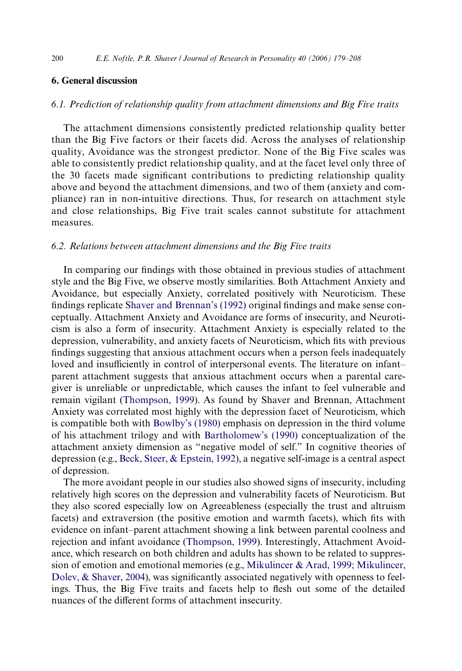# **6. General discussion**

#### *6.1. Prediction of relationship quality from attachment dimensions and Big Five traits*

The attachment dimensions consistently predicted relationship quality better than the Big Five factors or their facets did. Across the analyses of relationship quality, Avoidance was the strongest predictor. None of the Big Five scales was able to consistently predict relationship quality, and at the facet level only three of the 30 facets made significant contributions to predicting relationship quality above and beyond the attachment dimensions, and two of them (anxiety and compliance) ran in non-intuitive directions. Thus, for research on attachment style and close relationships, Big Five trait scales cannot substitute for attachment measures.

#### *6.2. Relations between attachment dimensions and the Big Five traits*

In comparing our findings with those obtained in previous studies of attachment style and the Big Five, we observe mostly similarities. Both Attachment Anxiety and Avoidance, but especially Anxiety, correlated positively with Neuroticism. These findings replicate [Shaver and Brennan's \(1992\)](#page-28-0) original findings and make sense conceptually. Attachment Anxiety and Avoidance are forms of insecurity, and Neuroticism is also a form of insecurity. Attachment Anxiety is especially related to the depression, vulnerability, and anxiety facets of Neuroticism, which fits with previous findings suggesting that anxious attachment occurs when a person feels inadequately loved and insufficiently in control of interpersonal events. The literature on infant– parent attachment suggests that anxious attachment occurs when a parental caregiver is unreliable or unpredictable, which causes the infant to feel vulnerable and remain vigilant ([Thompson, 1999](#page-28-8)). As found by Shaver and Brennan, Attachment Anxiety was correlated most highly with the depression facet of Neuroticism, which is compatible both with [Bowlby's \(1980\)](#page-26-17) emphasis on depression in the third volume of his attachment trilogy and with [Bartholomew's \(1990\)](#page-25-3) conceptualization of the attachment anxiety dimension as "negative model of self." In cognitive theories of depression (e.g., [Beck, Steer, & Epstein, 1992\)](#page-26-18), a negative self-image is a central aspect of depression.

The more avoidant people in our studies also showed signs of insecurity, including relatively high scores on the depression and vulnerability facets of Neuroticism. But they also scored especially low on Agreeableness (especially the trust and altruism facets) and extraversion (the positive emotion and warmth facets), which fits with evidence on infant–parent attachment showing a link between parental coolness and rejection and infant avoidance ([Thompson, 1999](#page-28-8)). Interestingly, Attachment Avoidance, which research on both children and adults has shown to be related to suppression of emotion and emotional memories (e.g., [Mikulincer & Arad, 1999; Mikulincer,](#page-27-13) Dolev,  $\&$  Shaver, 2004), was significantly associated negatively with openness to feelings. Thus, the Big Five traits and facets help to flesh out some of the detailed nuances of the different forms of attachment insecurity.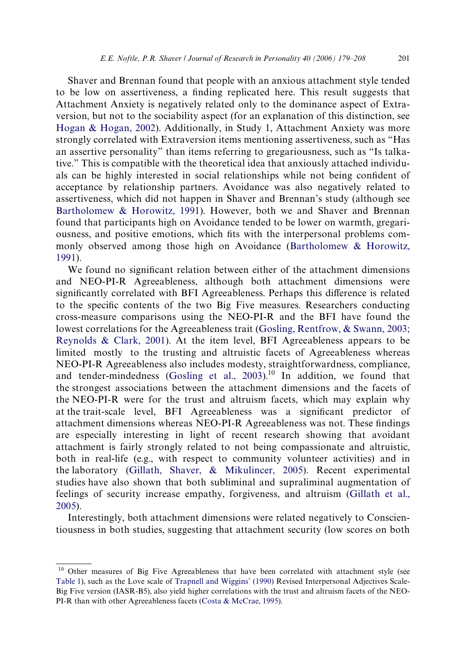Shaver and Brennan found that people with an anxious attachment style tended to be low on assertiveness, a finding replicated here. This result suggests that Attachment Anxiety is negatively related only to the dominance aspect of Extraversion, but not to the sociability aspect (for an explanation of this distinction, see [Hogan & Hogan, 2002\)](#page-27-14). Additionally, in Study 1, Attachment Anxiety was more strongly correlated with Extraversion items mentioning assertiveness, such as "Has an assertive personality" than items referring to gregariousness, such as "Is talkative." This is compatible with the theoretical idea that anxiously attached individuals can be highly interested in social relationships while not being confident of acceptance by relationship partners. Avoidance was also negatively related to assertiveness, which did not happen in Shaver and Brennan's study (although see [Bartholomew & Horowitz, 1991\)](#page-25-2). However, both we and Shaver and Brennan found that participants high on Avoidance tended to be lower on warmth, gregariousness, and positive emotions, which fits with the interpersonal problems commonly observed among those high on Avoidance ([Bartholomew & Horowitz,](#page-25-2) [1991](#page-25-2)).

We found no significant relation between either of the attachment dimensions and NEO-PI-R Agreeableness, although both attachment dimensions were significantly correlated with BFI Agreeableness. Perhaps this difference is related to the specific contents of the two Big Five measures. Researchers conducting cross-measure comparisons using the NEO-PI-R and the BFI have found the lowest correlations for the Agreeableness trait [\(Gosling, Rentfrow, & Swann, 2003;](#page-27-15) [Reynolds & Clark, 2001\)](#page-27-15). At the item level, BFI Agreeableness appears to be limited mostly to the trusting and altruistic facets of Agreeableness whereas NEO-PI-R Agreeableness also includes modesty, straightforwardness, compliance, and tender-mindedness (Gosling et al.,  $2003$ ).<sup>10</sup> In addition, we found that the strongest associations between the attachment dimensions and the facets of the NEO-PI-R were for the trust and altruism facets, which may explain why at the trait-scale level, BFI Agreeableness was a significant predictor of attachment dimensions whereas NEO-PI-R Agreeableness was not. These findings are especially interesting in light of recent research showing that avoidant attachment is fairly strongly related to not being compassionate and altruistic, both in real-life (e.g., with respect to community volunteer activities) and in the laboratory ([Gillath, Shaver, & Mikulincer, 2005](#page-27-16)). Recent experimental studies have also shown that both subliminal and supraliminal augmentation of feelings of security increase empathy, forgiveness, and altruism [\(Gillath et al.,](#page-27-16) [2005](#page-27-16)).

Interestingly, both attachment dimensions were related negatively to Conscientiousness in both studies, suggesting that attachment security (low scores on both

<sup>&</sup>lt;sup>10</sup> Other measures of Big Five Agreeableness that have been correlated with attachment style (see [Table 1](#page-3-0)), such as the Love scale of [Trapnell and Wiggins' \(1990\)](#page-28-9) Revised Interpersonal Adjectives Scale-Big Five version (IASR-B5), also yield higher correlations with the trust and altruism facets of the NEO-PI-R than with other Agreeableness facets [\(Costa & McCrae, 1995\)](#page-26-19).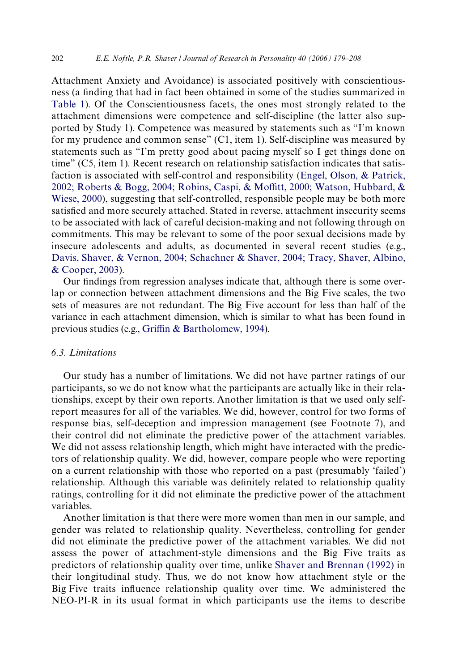Attachment Anxiety and Avoidance) is associated positively with conscientiousness (a finding that had in fact been obtained in some of the studies summarized in [Table 1](#page-3-0)). Of the Conscientiousness facets, the ones most strongly related to the attachment dimensions were competence and self-discipline (the latter also supported by Study 1). Competence was measured by statements such as "I'm known for my prudence and common sense" (C1, item 1). Self-discipline was measured by statements such as "I'm pretty good about pacing myself so I get things done on time" (C5, item 1). Recent research on relationship satisfaction indicates that satisfaction is associated with self-control and responsibility [\(Engel, Olson, & Patrick,](#page-26-20) [2002; Roberts & Bogg, 2004; Robins, Caspi, & Mo](#page-26-20)ffi[tt, 2000; Watson, Hubbard, &](#page-26-20) [Wiese, 2000](#page-26-20)), suggesting that self-controlled, responsible people may be both more satisfied and more securely attached. Stated in reverse, attachment insecurity seems to be associated with lack of careful decision-making and not following through on commitments. This may be relevant to some of the poor sexual decisions made by insecure adolescents and adults, as documented in several recent studies (e.g., [Davis, Shaver, & Vernon, 2004; Schachner & Shaver, 2004; Tracy, Shaver, Albino,](#page-26-21) [& Cooper, 2003](#page-26-21)).

Our findings from regression analyses indicate that, although there is some overlap or connection between attachment dimensions and the Big Five scales, the two sets of measures are not redundant. The Big Five account for less than half of the variance in each attachment dimension, which is similar to what has been found in previous studies (e.g., [Gri](#page-27-17)ffi[n & Bartholomew, 1994\)](#page-27-17).

# *6.3. Limitations*

Our study has a number of limitations. We did not have partner ratings of our participants, so we do not know what the participants are actually like in their relationships, except by their own reports. Another limitation is that we used only selfreport measures for all of the variables. We did, however, control for two forms of response bias, self-deception and impression management (see Footnote 7), and their control did not eliminate the predictive power of the attachment variables. We did not assess relationship length, which might have interacted with the predictors of relationship quality. We did, however, compare people who were reporting on a current relationship with those who reported on a past (presumably 'failed') relationship. Although this variable was definitely related to relationship quality ratings, controlling for it did not eliminate the predictive power of the attachment variables.

Another limitation is that there were more women than men in our sample, and gender was related to relationship quality. Nevertheless, controlling for gender did not eliminate the predictive power of the attachment variables. We did not assess the power of attachment-style dimensions and the Big Five traits as predictors of relationship quality over time, unlike [Shaver and Brennan \(1992\)](#page-28-0) in their longitudinal study. Thus, we do not know how attachment style or the Big Five traits influence relationship quality over time. We administered the NEO-PI-R in its usual format in which participants use the items to describe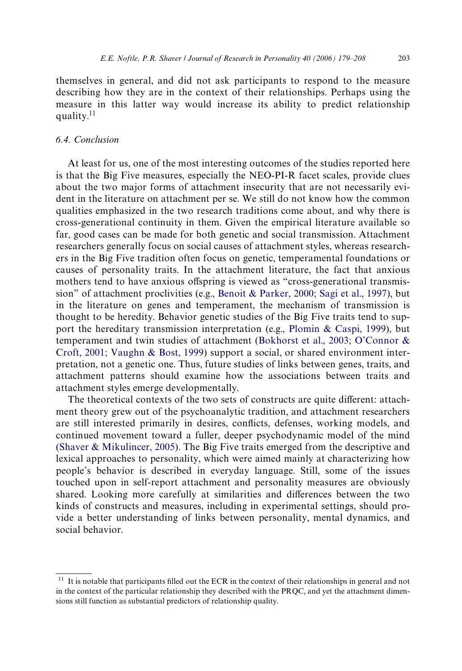themselves in general, and did not ask participants to respond to the measure describing how they are in the context of their relationships. Perhaps using the measure in this latter way would increase its ability to predict relationship quality.<sup>11</sup>

# *6.4. Conclusion*

At least for us, one of the most interesting outcomes of the studies reported here is that the Big Five measures, especially the NEO-PI-R facet scales, provide clues about the two major forms of attachment insecurity that are not necessarily evident in the literature on attachment per se. We still do not know how the common qualities emphasized in the two research traditions come about, and why there is cross-generational continuity in them. Given the empirical literature available so far, good cases can be made for both genetic and social transmission. Attachment researchers generally focus on social causes of attachment styles, whereas researchers in the Big Five tradition often focus on genetic, temperamental foundations or causes of personality traits. In the attachment literature, the fact that anxious mothers tend to have anxious offspring is viewed as "cross-generational transmission" of attachment proclivities (e.g., [Benoit & Parker, 2000; Sagi et al., 1997](#page-26-22)), but in the literature on genes and temperament, the mechanism of transmission is thought to be heredity. Behavior genetic studies of the Big Five traits tend to support the hereditary transmission interpretation (e.g., [Plomin & Caspi, 1999](#page-28-10)), but temperament and twin studies of attachment ([Bokhorst et al., 2003; O'Connor &](#page-26-23) [Croft, 2001; Vaughn & Bost, 1999\)](#page-26-23) support a social, or shared environment interpretation, not a genetic one. Thus, future studies of links between genes, traits, and attachment patterns should examine how the associations between traits and attachment styles emerge developmentally.

The theoretical contexts of the two sets of constructs are quite different: attachment theory grew out of the psychoanalytic tradition, and attachment researchers are still interested primarily in desires, conflicts, defenses, working models, and continued movement toward a fuller, deeper psychodynamic model of the mind [\(Shaver & Mikulincer, 2005](#page-28-11)). The Big Five traits emerged from the descriptive and lexical approaches to personality, which were aimed mainly at characterizing how people's behavior is described in everyday language. Still, some of the issues touched upon in self-report attachment and personality measures are obviously shared. Looking more carefully at similarities and differences between the two kinds of constructs and measures, including in experimental settings, should provide a better understanding of links between personality, mental dynamics, and social behavior.

 $11$  It is notable that participants filled out the ECR in the context of their relationships in general and not in the context of the particular relationship they described with the PRQC, and yet the attachment dimensions still function as substantial predictors of relationship quality.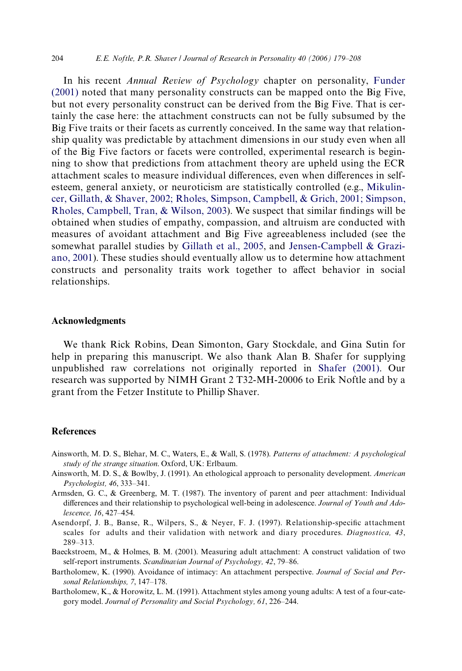<span id="page-25-7"></span><span id="page-25-6"></span><span id="page-25-5"></span><span id="page-25-4"></span>In his recent *Annual Review of Psychology* chapter on personality, [Funder](#page-27-18) [\(2001\)](#page-27-18) noted that many personality constructs can be mapped onto the Big Five, but not every personality construct can be derived from the Big Five. That is certainly the case here: the attachment constructs can not be fully subsumed by the Big Five traits or their facets as currently conceived. In the same way that relationship quality was predictable by attachment dimensions in our study even when all of the Big Five factors or facets were controlled, experimental research is beginning to show that predictions from attachment theory are upheld using the ECR attachment scales to measure individual differences, even when differences in selfesteem, general anxiety, or neuroticism are statistically controlled (e.g., [Mikulin](#page-27-19)[cer, Gillath, & Shaver, 2002; Rholes, Simpson, Campbell, & Grich, 2001; Simpson,](#page-27-19) Rholes, Campbell, Tran,  $& Wilson, 2003$ . We suspect that similar findings will be obtained when studies of empathy, compassion, and altruism are conducted with measures of avoidant attachment and Big Five agreeableness included (see the somewhat parallel studies by [Gillath et al., 2005](#page-27-16), and [Jensen-Campbell & Grazi](#page-27-20)[ano, 2001](#page-27-20)). These studies should eventually allow us to determine how attachment constructs and personality traits work together to affect behavior in social relationships.

#### **Acknowledgments**

We thank Rick Robins, Dean Simonton, Gary Stockdale, and Gina Sutin for help in preparing this manuscript. We also thank Alan B. Shafer for supplying unpublished raw correlations not originally reported in [Shafer \(2001\).](#page-28-12) Our research was supported by NIMH Grant 2 T32-MH-20006 to Erik Noftle and by a grant from the Fetzer Institute to Phillip Shaver.

### **References**

- <span id="page-25-1"></span>Ainsworth, M. D. S., Blehar, M. C., Waters, E., & Wall, S. (1978). *Patterns of attachment: A psychological study of the strange situation*. Oxford, UK: Erlbaum.
- <span id="page-25-0"></span>Ainsworth, M. D. S., & Bowlby, J. (1991). An ethological approach to personality development. *American Psychologist, 46*, 333–341.
- Armsden, G. C., & Greenberg, M. T. (1987). The inventory of parent and peer attachment: Individual differences and their relationship to psychological well-being in adolescence. *Journal of Youth and Adolescence, 16*, 427–454.
- Asendorpf, J. B., Banse, R., Wilpers, S., & Neyer, F. J. (1997). Relationship-specific attachment scales for adults and their validation with network and diary procedures. *Diagnostica, 43*, 289–313.
- Baeckstroem, M., & Holmes, B. M. (2001). Measuring adult attachment: A construct validation of two self-report instruments. *Scandinavian Journal of Psychology, 42*, 79–86.
- <span id="page-25-3"></span>Bartholomew, K. (1990). Avoidance of intimacy: An attachment perspective. *Journal of Social and Personal Relationships, 7*, 147–178.
- <span id="page-25-2"></span>Bartholomew, K., & Horowitz, L. M. (1991). Attachment styles among young adults: A test of a four-category model. *Journal of Personality and Social Psychology, 61*, 226–244.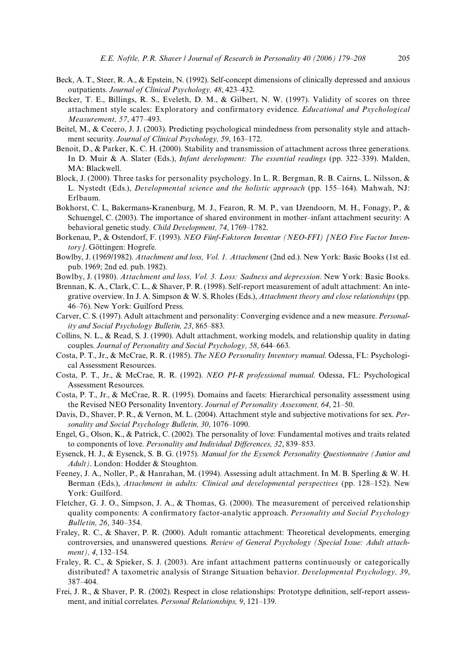- <span id="page-26-18"></span><span id="page-26-14"></span><span id="page-26-13"></span><span id="page-26-12"></span><span id="page-26-11"></span><span id="page-26-10"></span><span id="page-26-9"></span><span id="page-26-8"></span><span id="page-26-7"></span><span id="page-26-6"></span>Beck, A. T., Steer, R. A., & Epstein, N. (1992). Self-concept dimensions of clinically depressed and anxious outpatients. *Journal of Clinical Psychology, 48*, 423–432.
- Becker, T. E., Billings, R. S., Eveleth, D. M., & Gilbert, N. W. (1997). Validity of scores on three attachment style scales: Exploratory and confirmatory evidence. *Educational and Psychological Measurement, 57*, 477–493.
- Beitel, M., & Cecero, J. J. (2003). Predicting psychological mindedness from personality style and attachment security. *Journal of Clinical Psychology, 59*, 163–172.
- <span id="page-26-22"></span>Benoit, D., & Parker, K. C. H. (2000). Stability and transmission of attachment across three generations. In D. Muir & A. Slater (Eds.), *Infant development: The essential readings* (pp. 322–339). Malden, MA: Blackwell.
- <span id="page-26-4"></span>Block, J. (2000). Three tasks for personality psychology. In L. R. Bergman, R. B. Cairns, L. Nilsson, & L. Nystedt (Eds.), *Developmental science and the holistic approach* (pp. 155–164). Mahwah, NJ: Erlbaum.
- <span id="page-26-23"></span>Bokhorst, C. L, Bakermans-Kranenburg, M. J., Fearon, R. M. P., van IJzendoorn, M. H., Fonagy, P., & Schuengel, C. (2003). The importance of shared environment in mother–infant attachment security: A behavioral genetic study. *Child Development, 74*, 1769–1782.
- Borkenau, P., & Ostendorf, F. (1993). *NEO Fünf-Faktoren Inventar (NEO-FFI) [NEO Five Factor Inventory]*. Göttingen: Hogrefe.
- Bowlby, J. (1969/1982). *Attachment and loss, Vol. 1. Attachment* (2nd ed.). New York: Basic Books (1st ed. pub. 1969; 2nd ed. pub. 1982).
- <span id="page-26-17"></span>Bowlby, J. (1980). *Attachment and loss, Vol. 3. Loss: Sadness and depression*. New York: Basic Books.
- <span id="page-26-0"></span>Brennan, K. A., Clark, C. L., & Shaver, P. R. (1998). Self-report measurement of adult attachment: An integrative overview. In J. A. Simpson & W. S. Rholes (Eds.), *Attachment theory and close relationships* (pp. 46–76). New York: Guilford Press.
- Carver, C. S. (1997). Adult attachment and personality: Converging evidence and a new measure. *Personality and Social Psychology Bulletin, 23*, 865–883.
- Collins, N. L., & Read, S. J. (1990). Adult attachment, working models, and relationship quality in dating couples. *Journal of Personality and Social Psychology, 58*, 644–663.
- <span id="page-26-3"></span>Costa, P. T., Jr., & McCrae, R. R. (1985). *The NEO Personality Inventory manual*. Odessa, FL: Psychological Assessment Resources.
- <span id="page-26-1"></span>Costa, P. T., Jr., & McCrae, R. R. (1992). *NEO PI-R professional manual*. Odessa, FL: Psychological Assessment Resources.
- <span id="page-26-19"></span>Costa, P. T., Jr., & McCrae, R. R. (1995). Domains and facets: Hierarchical personality assessment using the Revised NEO Personality Inventory. *Journal of Personality Assessment, 64*, 21–50.
- <span id="page-26-21"></span>Davis, D., Shaver, P. R., & Vernon, M. L. (2004). Attachment style and subjective motivations for sex. *Personality and Social Psychology Bulletin, 30*, 1076–1090.
- <span id="page-26-20"></span>Engel, G., Olson, K., & Patrick, C. (2002). The personality of love: Fundamental motives and traits related to components of love. *Personality and Individual Differences*, 32, 839–853.
- Eysenck, H. J., & Eysenck, S. B. G. (1975). *Manual for the Eysenck Personality Questionnaire (Junior and Adult)*. London: Hodder & Stoughton.
- Feeney, J. A., Noller, P., & Hanrahan, M. (1994). Assessing adult attachment. In M. B. Sperling & W. H. Berman (Eds.), *Attachment in adults: Clinical and developmental perspectives* (pp. 128–152). New York: Guilford.
- <span id="page-26-15"></span>Fletcher, G. J. O., Simpson, J. A., & Thomas, G. (2000). The measurement of perceived relationship quality components: A confirmatory factor-analytic approach. Personality and Social Psychology *Bulletin, 26*, 340–354.
- <span id="page-26-2"></span>Fraley, R. C., & Shaver, P. R. (2000). Adult romantic attachment: Theoretical developments, emerging controversies, and unanswered questions. *Review of General Psychology (Special Issue: Adult attachment), 4*, 132–154.
- <span id="page-26-5"></span>Fraley, R. C., & Spieker, S. J. (2003). Are infant attachment patterns continuously or categorically distributed? A taxometric analysis of Strange Situation behavior. *Developmental Psychology, 39*, 387–404.
- <span id="page-26-16"></span>Frei, J. R., & Shaver, P. R. (2002). Respect in close relationships: Prototype definition, self-report assessment, and initial correlates. *Personal Relationships, 9*, 121–139.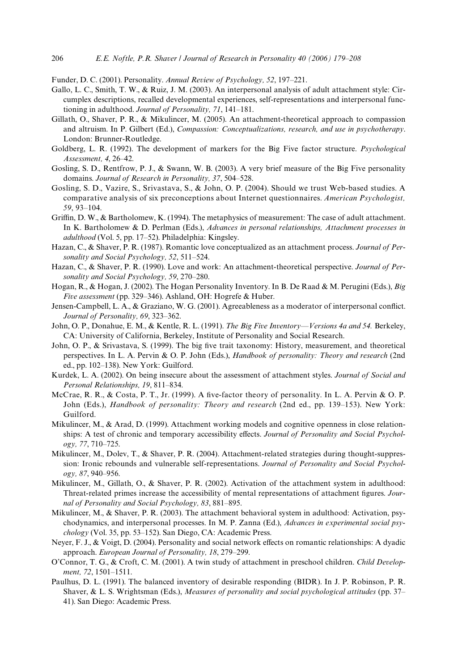<span id="page-27-18"></span><span id="page-27-10"></span><span id="page-27-9"></span><span id="page-27-8"></span><span id="page-27-7"></span><span id="page-27-6"></span>Funder, D. C. (2001). Personality. *Annual Review of Psychology, 52*, 197–221.

- Gallo, L. C., Smith, T. W., & Ruiz, J. M. (2003). An interpersonal analysis of adult attachment style: Circumplex descriptions, recalled developmental experiences, self-representations and interpersonal functioning in adulthood. *Journal of Personality, 71*, 141–181.
- <span id="page-27-16"></span>Gillath, O., Shaver, P. R., & Mikulincer, M. (2005). An attachment-theoretical approach to compassion and altruism. In P. Gilbert (Ed.), *Compassion: Conceptualizations, research, and use in psychotherapy*. London: Brunner-Routledge.
- Goldberg, L. R. (1992). The development of markers for the Big Five factor structure. *Psychological Assessment, 4*, 26–42.
- <span id="page-27-15"></span>Gosling, S. D., Rentfrow, P. J., & Swann, W. B. (2003). A very brief measure of the Big Five personality domains. *Journal of Research in Personality, 37*, 504–528.
- <span id="page-27-12"></span>Gosling, S. D., Vazire, S., Srivastava, S., & John, O. P. (2004). Should we trust Web-based studies. A comparative analysis of six preconceptions about Internet questionnaires. *American Psychologist, 59*, 93–104.
- <span id="page-27-17"></span>Griffin, D. W., & Bartholomew, K. (1994). The metaphysics of measurement: The case of adult attachment. In K. Bartholomew & D. Perlman (Eds.), *Advances in personal relationships, Attachment processes in adulthood* (Vol. 5, pp. 17–52). Philadelphia: Kingsley.
- <span id="page-27-2"></span>Hazan, C., & Shaver, P. R. (1987). Romantic love conceptualized as an attachment process. *Journal of Personality and Social Psychology, 52*, 511–524.
- Hazan, C., & Shaver, P. R. (1990). Love and work: An attachment-theoretical perspective. *Journal of Personality and Social Psychology, 59*, 270–280.
- <span id="page-27-14"></span>Hogan, R., & Hogan, J. (2002). The Hogan Personality Inventory. In B. De Raad & M. Perugini (Eds.), *Big Five assessment* (pp. 329–346). Ashland, OH: Hogrefe & Huber.
- <span id="page-27-20"></span>Jensen-Campbell, L. A., & Graziano, W. G. (2001). Agreeableness as a moderator of interpersonal conflict. *Journal of Personality, 69*, 323–362.
- <span id="page-27-0"></span>John, O. P., Donahue, E. M., & Kentle, R. L. (1991). *The Big Five Inventory—Versions 4a and 54.* Berkeley, CA: University of California, Berkeley, Institute of Personality and Social Research.
- <span id="page-27-4"></span>John, O. P., & Srivastava, S. (1999). The big five trait taxonomy: History, measurement, and theoretical perspectives. In L. A. Pervin & O. P. John (Eds.), *Handbook of personality: Theory and research* (2nd ed., pp. 102–138). New York: Guilford.
- <span id="page-27-5"></span>Kurdek, L. A. (2002). On being insecure about the assessment of attachment styles. *Journal of Social and Personal Relationships, 19*, 811–834.
- <span id="page-27-3"></span>McCrae, R. R., & Costa, P. T., Jr. (1999). A five-factor theory of personality. In L. A. Pervin & O. P. John (Eds.), *Handbook of personality: Theory and research* (2nd ed., pp. 139–153). New York: Guilford.
- <span id="page-27-13"></span>Mikulincer, M., & Arad, D. (1999). Attachment working models and cognitive openness in close relationships: A test of chronic and temporary accessibility effects. Journal of Personality and Social Psychol*ogy, 77*, 710–725.
- Mikulincer, M., Dolev, T., & Shaver, P. R. (2004). Attachment-related strategies during thought-suppression: Ironic rebounds and vulnerable self-representations. *Journal of Personality and Social Psychology, 87*, 940–956.
- <span id="page-27-19"></span>Mikulincer, M., Gillath, O., & Shaver, P. R. (2002). Activation of the attachment system in adulthood: Threat-related primes increase the accessibility of mental representations of attachment figures. *Journal of Personality and Social Psychology, 83*, 881–895.
- <span id="page-27-1"></span>Mikulincer, M., & Shaver, P. R. (2003). The attachment behavioral system in adulthood: Activation, psychodynamics, and interpersonal processes. In M. P. Zanna (Ed.), *Advances in experimental social psychology* (Vol. 35, pp. 53–152). San Diego, CA: Academic Press.
- Neyer, F. J., & Voigt, D. (2004). Personality and social network effects on romantic relationships: A dyadic approach. *European Journal of Personality, 18*, 279–299.
- O'Connor, T. G., & Croft, C. M. (2001). A twin study of attachment in preschool children. *Child Development, 72*, 1501–1511.
- <span id="page-27-11"></span>Paulhus, D. L. (1991). The balanced inventory of desirable responding (BIDR). In J. P. Robinson, P. R. Shaver, & L. S. Wrightsman (Eds.), *Measures of personality and social psychological attitudes* (pp. 37– 41). San Diego: Academic Press.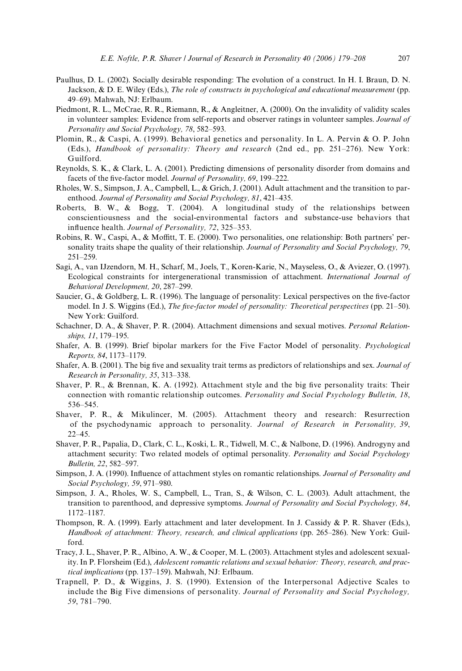- <span id="page-28-7"></span><span id="page-28-6"></span><span id="page-28-5"></span><span id="page-28-4"></span><span id="page-28-3"></span><span id="page-28-2"></span>Paulhus, D. L. (2002). Socially desirable responding: The evolution of a construct. In H. I. Braun, D. N. Jackson, & D. E. Wiley (Eds.), *The role of constructs in psychological and educational measurement* (pp. 49–69). Mahwah, NJ: Erlbaum.
- Piedmont, R. L., McCrae, R. R., Riemann, R., & Angleitner, A. (2000). On the invalidity of validity scales in volunteer samples: Evidence from self-reports and observer ratings in volunteer samples. *Journal of Personality and Social Psychology, 78*, 582–593.
- <span id="page-28-10"></span>Plomin, R., & Caspi, A. (1999). Behavioral genetics and personality. In L. A. Pervin & O. P. John (Eds.), *Handbook of personality: Theory and research* (2nd ed., pp. 251–276). New York: Guilford.
- Reynolds, S. K., & Clark, L. A. (2001). Predicting dimensions of personality disorder from domains and facets of the five-factor model. *Journal of Personality*, 69, 199–222.
- Rholes, W. S., Simpson, J. A., Campbell, L., & Grich, J. (2001). Adult attachment and the transition to parenthood. *Journal of Personality and Social Psychology, 81*, 421–435.
- Roberts, B. W., & Bogg, T. (2004). A longitudinal study of the relationships between conscientiousness and the social-environmental factors and substance-use behaviors that influence health. *Journal of Personality*, 72, 325–353.
- Robins, R. W., Caspi, A., & Moffitt, T. E. (2000). Two personalities, one relationship: Both partners' personality traits shape the quality of their relationship. *Journal of Personality and Social Psychology, 79*, 251–259.
- Sagi, A., van IJzendorn, M. H., Scharf, M., Joels, T., Koren-Karie, N., Mayseless, O., & Aviezer, O. (1997). Ecological constraints for intergenerational transmission of attachment. *International Journal of Behavioral Development, 20*, 287–299.
- <span id="page-28-1"></span>Saucier, G., & Goldberg, L. R. (1996). The language of personality: Lexical perspectives on the five-factor model. In J. S. Wiggins (Ed.), *The five-factor model of personality: Theoretical perspectives* (pp. 21–50). New York: Guilford.
- Schachner, D. A., & Shaver, P. R. (2004). Attachment dimensions and sexual motives. *Personal Relationships, 11*, 179–195.
- Shafer, A. B. (1999). Brief bipolar markers for the Five Factor Model of personality. *Psychological Reports, 84*, 1173–1179.
- <span id="page-28-12"></span>Shafer, A. B. (2001). The big five and sexuality trait terms as predictors of relationships and sex. *Journal of Research in Personality, 35*, 313–338.
- <span id="page-28-0"></span>Shaver, P. R., & Brennan, K. A. (1992). Attachment style and the big five personality traits: Their connection with romantic relationship outcomes. *Personality and Social Psychology Bulletin, 18*, 536–545.
- <span id="page-28-11"></span>Shaver, P. R., & Mikulincer, M. (2005). Attachment theory and research: Resurrection of the psychodynamic approach to personality. *Journal of Research in Personality, 39*, 22–45.
- Shaver, P. R., Papalia, D., Clark, C. L., Koski, L. R., Tidwell, M. C., & Nalbone, D. (1996). Androgyny and attachment security: Two related models of optimal personality. *Personality and Social Psychology Bulletin, 22*, 582–597.
- Simpson, J. A. (1990). Influence of attachment styles on romantic relationships. *Journal of Personality and Social Psychology, 59*, 971–980.
- Simpson, J. A., Rholes, W. S., Campbell, L., Tran, S., & Wilson, C. L. (2003). Adult attachment, the transition to parenthood, and depressive symptoms. *Journal of Personality and Social Psychology, 84*, 1172–1187.
- <span id="page-28-8"></span>Thompson, R. A. (1999). Early attachment and later development. In J. Cassidy & P. R. Shaver (Eds.), *Handbook of attachment: Theory, research, and clinical applications* (pp. 265–286). New York: Guilford.
- Tracy, J. L., Shaver, P. R., Albino, A. W., & Cooper, M. L. (2003). Attachment styles and adolescent sexuality. In P. Florsheim (Ed.), *Adolescent romantic relations and sexual behavior: Theory, research, and practical implications* (pp. 137–159). Mahwah, NJ: Erlbaum.
- <span id="page-28-9"></span>Trapnell, P. D., & Wiggins, J. S. (1990). Extension of the Interpersonal Adjective Scales to include the Big Five dimensions of personality. *Journal of Personality and Social Psychology, 59*, 781–790.